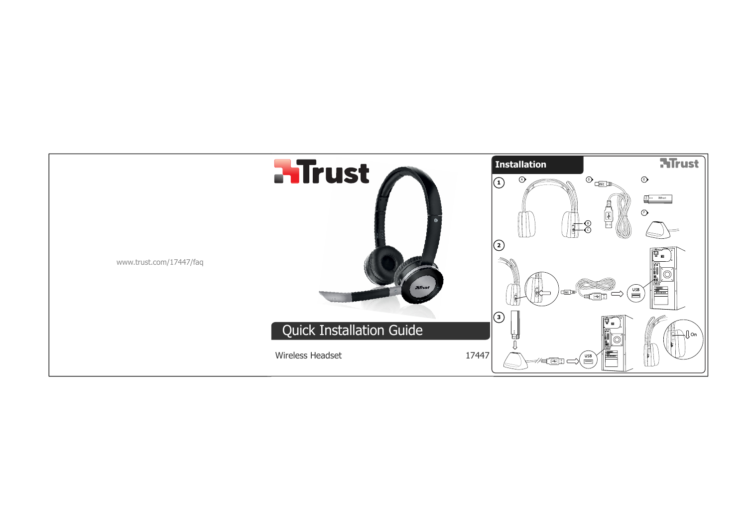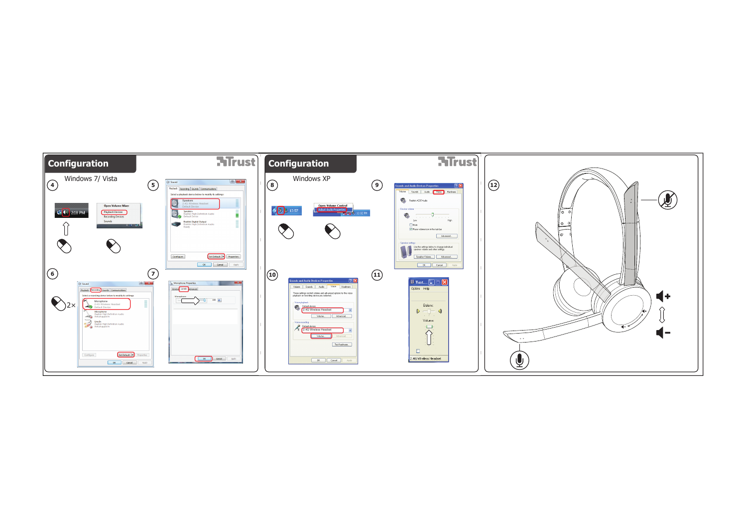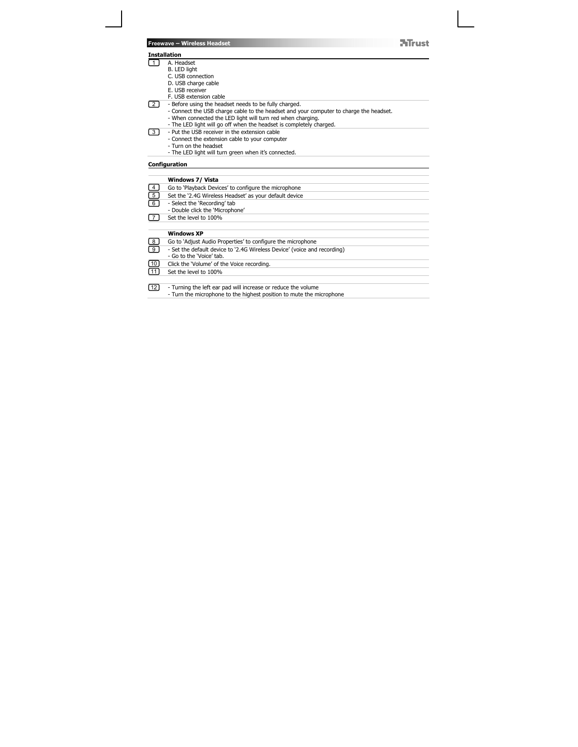| <b>Freewave - Wireless Headset</b> |  |  |
|------------------------------------|--|--|
|                                    |  |  |

# **Installation**

2

- $\Box$ 
	-
	- A. Headset B. LED light C. USB connection D. USB charge cable E. USB receiver
	-
	-
	-
	- F. USB extension cable<br>- Before using the headset needs to be fully charged.<br>- Connect the USB charge cable to the headset and your computer to charge the headset.<br>- When connected the LED light will turn red when charging

**ATrust** 

- 
- Put the USB receiver in the extension cable Connect the extension cable to your computer Turn on the headset The LED light will turn green when it's connected. 3
	-
	-
	-

### **Configuration**

|                                                      | Windows 7/ Vista                                                         |
|------------------------------------------------------|--------------------------------------------------------------------------|
|                                                      | Go to 'Playback Devices' to configure the microphone                     |
| $\begin{array}{c} \boxed{4} \ \boxed{5} \end{array}$ | Set the '2.4G Wireless Headset' as your default device                   |
| ᢎ                                                    | - Select the 'Recording' tab                                             |
|                                                      | - Double click the 'Microphone'                                          |
| $\sqrt{7}$                                           | Set the level to 100%                                                    |
|                                                      |                                                                          |
|                                                      | <b>Windows XP</b>                                                        |
| $^{8}$                                               | Go to 'Adjust Audio Properties' to configure the microphone              |
| $\textcircled{\scriptsize{\texttt{I}}}$              | - Set the default device to '2.4G Wireless Device' (voice and recording) |
|                                                      | - Go to the 'Voice' tab.                                                 |
| ⅏                                                    | Click the 'Volume' of the Voice recording.                               |
| [11]                                                 | Set the level to 100%                                                    |
|                                                      |                                                                          |
| $\boxed{12}$                                         | - Turning the left ear pad will increase or reduce the volume            |
|                                                      | - Turn the microphone to the highest position to mute the microphone     |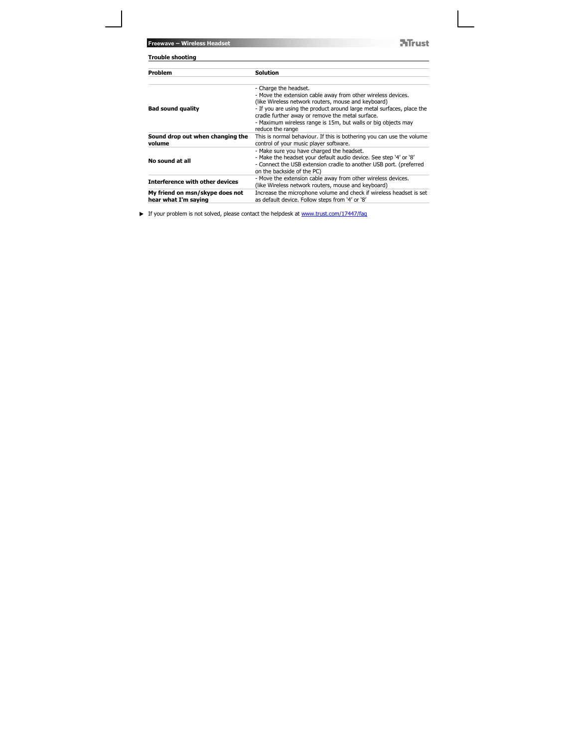**NTrust** 

| <b>Trouble shooting</b>                                 |                                                                                                                                                                                                                                                                                                                                                                |  |
|---------------------------------------------------------|----------------------------------------------------------------------------------------------------------------------------------------------------------------------------------------------------------------------------------------------------------------------------------------------------------------------------------------------------------------|--|
| Problem                                                 | <b>Solution</b>                                                                                                                                                                                                                                                                                                                                                |  |
| <b>Bad sound quality</b>                                | - Charge the headset.<br>- Move the extension cable away from other wireless devices.<br>(like Wireless network routers, mouse and keyboard)<br>- If you are using the product around large metal surfaces, place the<br>cradle further away or remove the metal surface.<br>- Maximum wireless range is 15m, but walls or big objects may<br>reduce the range |  |
| Sound drop out when changing the<br>volume              | This is normal behaviour. If this is bothering you can use the volume<br>control of your music player software.                                                                                                                                                                                                                                                |  |
| No sound at all                                         | - Make sure you have charged the headset.<br>- Make the headset your default audio device. See step '4' or '8'<br>- Connect the USB extension cradle to another USB port. (preferred<br>on the backside of the PC)                                                                                                                                             |  |
| <b>Interference with other devices</b>                  | - Move the extension cable away from other wireless devices.<br>(like Wireless network routers, mouse and keyboard)                                                                                                                                                                                                                                            |  |
| My friend on msn/skype does not<br>hear what I'm saying | Increase the microphone volume and check if wireless headset is set<br>as default device. Follow steps from '4' or '8'                                                                                                                                                                                                                                         |  |

If your problem is not solved, please contact the helpdesk at www.trust.com/17447/faq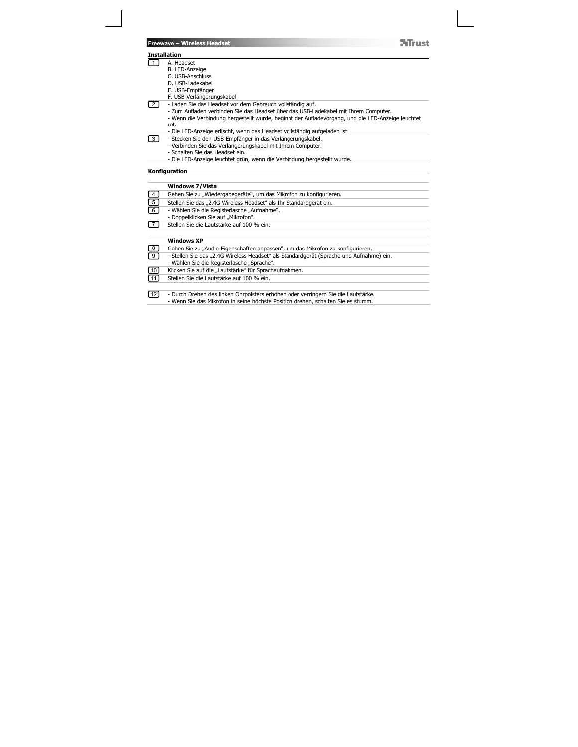|                 | <b>NTrust</b><br><b>Freewave - Wireless Headset</b>                                                                                   |
|-----------------|---------------------------------------------------------------------------------------------------------------------------------------|
|                 | <b>Installation</b>                                                                                                                   |
| $\overline{1}$  | A. Headset                                                                                                                            |
|                 | B. LED-Anzeige                                                                                                                        |
|                 | C. USB-Anschluss                                                                                                                      |
|                 | D. USB-Ladekabel                                                                                                                      |
|                 | E. USB-Empfänger                                                                                                                      |
|                 | F. USB-Verlängerungskabel                                                                                                             |
| $\overline{2}$  | - Laden Sie das Headset vor dem Gebrauch vollständig auf.                                                                             |
|                 | - Zum Aufladen verbinden Sie das Headset über das USB-Ladekabel mit Ihrem Computer.                                                   |
|                 | - Wenn die Verbindung hergestellt wurde, beginnt der Aufladevorgang, und die LED-Anzeige leuchtet                                     |
|                 | rot.                                                                                                                                  |
|                 | - Die LED-Anzeige erlischt, wenn das Headset vollständig aufgeladen ist.                                                              |
| 3 I             | - Stecken Sie den USB-Empfänger in das Verlängerungskabel.                                                                            |
|                 | - Verbinden Sie das Verlängerungskabel mit Ihrem Computer.<br>- Schalten Sie das Headset ein.                                         |
|                 | - Die LED-Anzeige leuchtet grün, wenn die Verbindung hergestellt wurde.                                                               |
|                 |                                                                                                                                       |
|                 | Konfiguration                                                                                                                         |
|                 |                                                                                                                                       |
|                 | <b>Windows 7/Vista</b>                                                                                                                |
| $\overline{4}$  | Gehen Sie zu "Wiedergabegeräte", um das Mikrofon zu konfigurieren.                                                                    |
| $\overline{5}$  | Stellen Sie das "2.4G Wireless Headset" als Ihr Standardgerät ein.                                                                    |
| $\frac{1}{6}$   | - Wählen Sie die Registerlasche "Aufnahme".                                                                                           |
|                 | - Doppelklicken Sie auf "Mikrofon".                                                                                                   |
| $\overline{7}$  | Stellen Sie die Lautstärke auf 100 % ein.                                                                                             |
|                 | <b>Windows XP</b>                                                                                                                     |
|                 | Gehen Sie zu "Audio-Eigenschaften anpassen", um das Mikrofon zu konfigurieren.                                                        |
| $\frac{8}{9}$   |                                                                                                                                       |
|                 | - Stellen Sie das "2.4G Wireless Headset" als Standardgerät (Sprache und Aufnahme) ein.<br>- Wählen Sie die Registerlasche "Sprache". |
|                 |                                                                                                                                       |
| $\boxed{10}$    | Klicken Sie auf die "Lautstärke" für Sprachaufnahmen.                                                                                 |
| $\overline{11}$ | Stellen Sie die Lautstärke auf 100 % ein.                                                                                             |
| 121             | - Durch Drehen des linken Ohrpolsters erhöhen oder verringern Sie die Lautstärke.                                                     |
|                 | - Wenn Sie das Mikrofon in seine höchste Position drehen, schalten Sie es stumm.                                                      |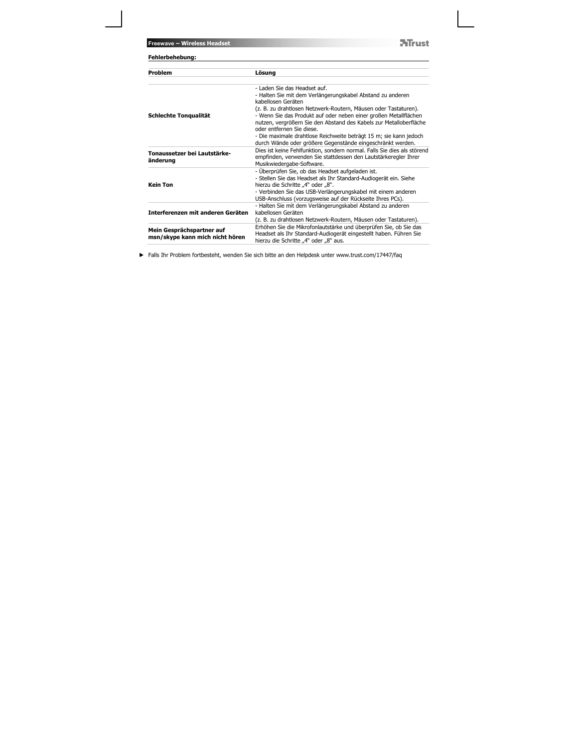| <b>ATrust</b><br>Freewave - Wireless Headset<br>Fehlerbehebung: |                                                                                                                                                                                                                                                                                        |  |
|-----------------------------------------------------------------|----------------------------------------------------------------------------------------------------------------------------------------------------------------------------------------------------------------------------------------------------------------------------------------|--|
| Problem                                                         | Lösung                                                                                                                                                                                                                                                                                 |  |
|                                                                 | - Laden Sie das Headset auf.<br>- Halten Sie mit dem Verlängerungskabel Abstand zu anderen<br>kabellosen Geräten                                                                                                                                                                       |  |
| Schlechte Tonqualität                                           | (z. B. zu drahtlosen Netzwerk-Routern, Mäusen oder Tastaturen).<br>- Wenn Sie das Produkt auf oder neben einer großen Metallflächen<br>nutzen, vergrößern Sie den Abstand des Kabels zur Metalloberfläche<br>oder entfernen Sie diese.                                                 |  |
|                                                                 | - Die maximale drahtlose Reichweite beträgt 15 m; sie kann jedoch<br>durch Wände oder größere Gegenstände eingeschränkt werden.                                                                                                                                                        |  |
| Tonaussetzer bei Lautstärke-<br>änderung                        | Dies ist keine Fehlfunktion, sondern normal. Falls Sie dies als störend<br>empfinden, verwenden Sie stattdessen den Lautstärkeregler Ihrer<br>Musikwiedergabe-Software.                                                                                                                |  |
| <b>Kein Ton</b>                                                 | - Überprüfen Sie, ob das Headset aufgeladen ist.<br>- Stellen Sie das Headset als Ihr Standard-Audiogerät ein. Siehe<br>hierzu die Schritte "4" oder "8".<br>- Verbinden Sie das USB-Verlängerungskabel mit einem anderen<br>USB-Anschluss (vorzugsweise auf der Rückseite Ihres PCs). |  |
| Interferenzen mit anderen Geräten                               | - Halten Sie mit dem Verlängerungskabel Abstand zu anderen<br>kabellosen Geräten<br>(z. B. zu drahtlosen Netzwerk-Routern, Mäusen oder Tastaturen).                                                                                                                                    |  |
| Mein Gesprächspartner auf<br>msn/skype kann mich nicht hören    | Erhöhen Sie die Mikrofonlautstärke und überprüfen Sie, ob Sie das<br>Headset als Ihr Standard-Audiogerät eingestellt haben. Führen Sie<br>hierzu die Schritte "4" oder "8" aus.                                                                                                        |  |

Falls Ihr Problem fortbesteht, wenden Sie sich bitte an den Helpdesk unter www.trust.com/17447/faq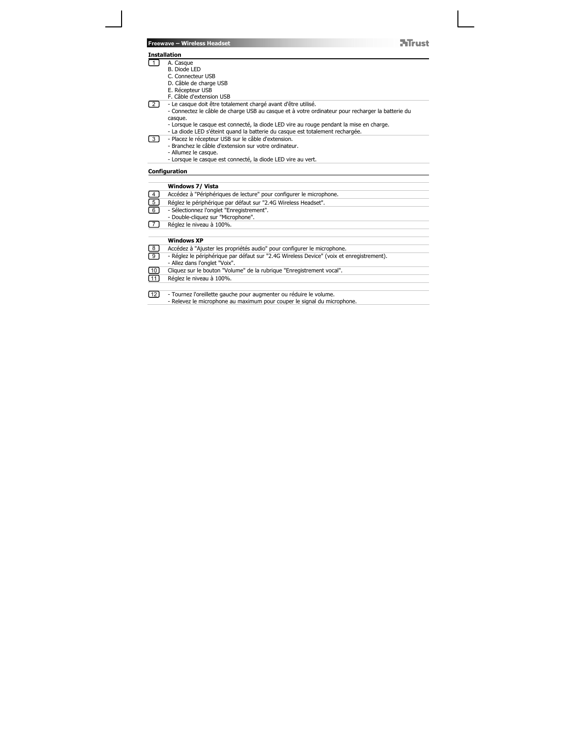| <b>Mirust</b>                                                                                                                                                            |
|--------------------------------------------------------------------------------------------------------------------------------------------------------------------------|
|                                                                                                                                                                          |
|                                                                                                                                                                          |
|                                                                                                                                                                          |
|                                                                                                                                                                          |
|                                                                                                                                                                          |
|                                                                                                                                                                          |
|                                                                                                                                                                          |
| - Le casque doit être totalement chargé avant d'être utilisé.                                                                                                            |
| - Connectez le câble de charge USB au casque et à votre ordinateur pour recharger la batterie du                                                                         |
|                                                                                                                                                                          |
| - Lorsque le casque est connecté, la diode LED vire au rouge pendant la mise en charge.<br>- La diode LED s'éteint quand la batterie du casque est totalement rechargée. |
| - Placez le récepteur USB sur le câble d'extension.                                                                                                                      |
| - Branchez le câble d'extension sur votre ordinateur.                                                                                                                    |
|                                                                                                                                                                          |
| - Lorsque le casque est connecté, la diode LED vire au vert.                                                                                                             |
|                                                                                                                                                                          |
|                                                                                                                                                                          |
|                                                                                                                                                                          |
|                                                                                                                                                                          |
| Accédez à "Périphériques de lecture" pour configurer le microphone.                                                                                                      |
| Réglez le périphérique par défaut sur "2.4G Wireless Headset".                                                                                                           |
| - Sélectionnez l'onglet "Enregistrement".                                                                                                                                |
|                                                                                                                                                                          |
|                                                                                                                                                                          |
|                                                                                                                                                                          |
|                                                                                                                                                                          |
| Accédez à "Ajuster les propriétés audio" pour configurer le microphone.                                                                                                  |
| - Réglez le périphérique par défaut sur "2.4G Wireless Device" (voix et enregistrement).                                                                                 |
|                                                                                                                                                                          |
| Cliquez sur le bouton "Volume" de la rubrique "Enregistrement vocal".                                                                                                    |
|                                                                                                                                                                          |
| - Tournez l'oreillette gauche pour augmenter ou réduire le volume.                                                                                                       |
|                                                                                                                                                                          |
|                                                                                                                                                                          |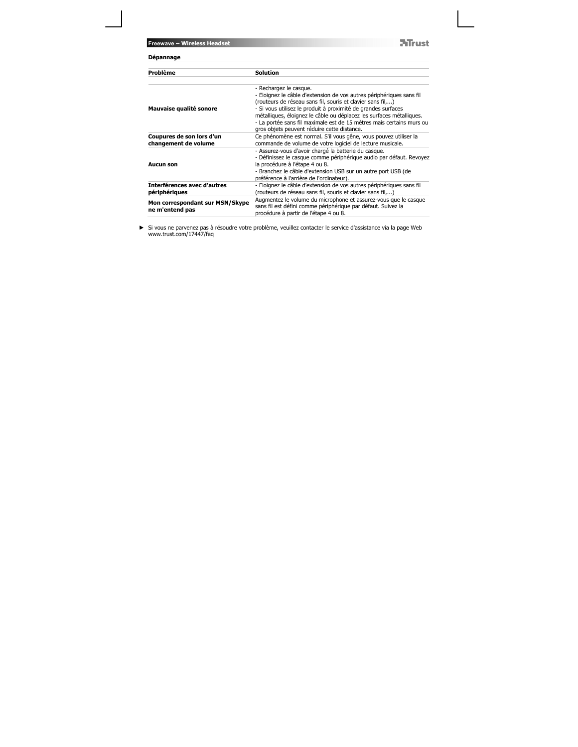**NTrust** 

| Dépannage                                                                                                                                                                                                                                                                                                                                                                                                                    |  |  |
|------------------------------------------------------------------------------------------------------------------------------------------------------------------------------------------------------------------------------------------------------------------------------------------------------------------------------------------------------------------------------------------------------------------------------|--|--|
| <b>Solution</b>                                                                                                                                                                                                                                                                                                                                                                                                              |  |  |
| - Rechargez le casque.<br>- Eloignez le câble d'extension de vos autres périphériques sans fil<br>(routeurs de réseau sans fil, souris et clavier sans fil,)<br>- Si vous utilisez le produit à proximité de grandes surfaces<br>métalliques, éloignez le câble ou déplacez les surfaces métalliques.<br>- La portée sans fil maximale est de 15 mètres mais certains murs ou<br>gros objets peuvent réduire cette distance. |  |  |
| Ce phénomène est normal. S'il vous gêne, vous pouvez utiliser la<br>commande de volume de votre logiciel de lecture musicale.                                                                                                                                                                                                                                                                                                |  |  |
| - Assurez-vous d'avoir chargé la batterie du casque.<br>- Définissez le casque comme périphérique audio par défaut. Revoyez<br>la procédure à l'étape 4 ou 8.<br>- Branchez le câble d'extension USB sur un autre port USB (de<br>préférence à l'arrière de l'ordinateur).                                                                                                                                                   |  |  |
| - Eloignez le câble d'extension de vos autres périphériques sans fil<br>(routeurs de réseau sans fil, souris et clavier sans fil,)                                                                                                                                                                                                                                                                                           |  |  |
| Augmentez le volume du microphone et assurez-vous que le casque<br>sans fil est défini comme périphérique par défaut. Suivez la<br>procédure à partir de l'étape 4 ou 8.                                                                                                                                                                                                                                                     |  |  |
|                                                                                                                                                                                                                                                                                                                                                                                                                              |  |  |

Si vous ne parvenez pas à résoudre votre problème, veuillez contacter le service d'assistance via la page Web www.trust.com/17447/faq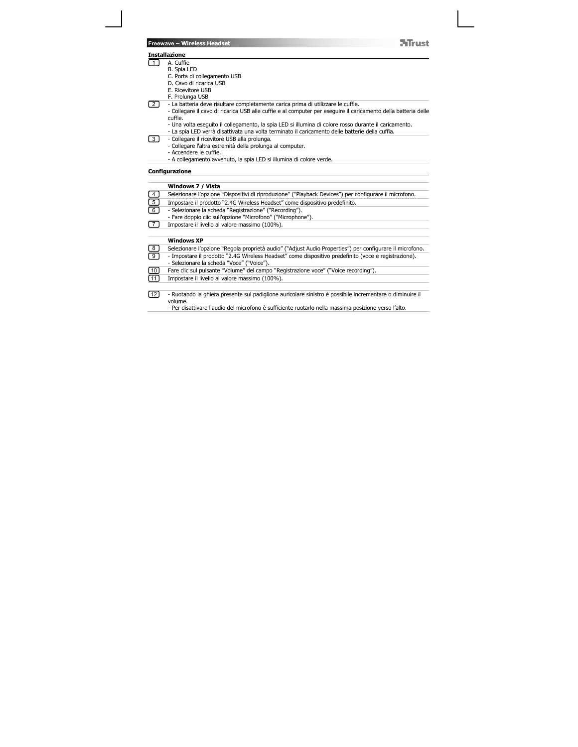| Freewave - Wireless Headset |  |
|-----------------------------|--|
|-----------------------------|--|



|                         | <b>Installazione</b>                                                                                           |
|-------------------------|----------------------------------------------------------------------------------------------------------------|
| 1                       | A. Cuffie                                                                                                      |
|                         | B. Spia LED                                                                                                    |
|                         | C. Porta di collegamento USB                                                                                   |
|                         | D. Cavo di ricarica USB                                                                                        |
|                         | E. Ricevitore USB                                                                                              |
| <sup>2</sup>            | F. Prolunga USB<br>- La batteria deve risultare completamente carica prima di utilizzare le cuffie.            |
|                         | - Collegare il cavo di ricarica USB alle cuffie e al computer per eseguire il caricamento della batteria delle |
|                         | cuffie.                                                                                                        |
|                         | - Una volta eseguito il collegamento, la spia LED si illumina di colore rosso durante il caricamento.          |
|                         | - La spia LED verrà disattivata una volta terminato il caricamento delle batterie della cuffia.                |
| 3 I                     | - Collegare il ricevitore USB alla prolunga.                                                                   |
|                         | - Collegare l'altra estremità della prolunga al computer.                                                      |
|                         | - Accendere le cuffie.                                                                                         |
|                         | - A collegamento avvenuto, la spia LED si illumina di colore verde.                                            |
|                         | Configurazione                                                                                                 |
|                         |                                                                                                                |
|                         | Windows 7 / Vista                                                                                              |
| $\overline{4}$          | Selezionare l'opzione "Dispositivi di riproduzione" ("Playback Devices") per configurare il microfono.         |
| $\overline{5}$          | Impostare il prodotto "2.4G Wireless Headset" come dispositivo predefinito.                                    |
| $\overline{6}$          | - Selezionare la scheda "Registrazione" ("Recording").                                                         |
|                         | - Fare doppio clic sull'opzione "Microfono" ("Microphone").                                                    |
| 71                      | Impostare il livello al valore massimo (100%).                                                                 |
|                         |                                                                                                                |
|                         | <b>Windows XP</b>                                                                                              |
| $\overline{\mathbf{8}}$ | Selezionare l'opzione "Regola proprietà audio" ("Adjust Audio Properties") per configurare il microfono.       |
| $\overline{9}$          | - Impostare il prodotto "2.4G Wireless Headset" come dispositivo predefinito (voce e registrazione).           |
|                         | - Selezionare la scheda "Voce" ("Voice").                                                                      |
| [10]                    | Fare clic sul pulsante "Volume" del campo "Registrazione voce" ("Voice recording").                            |
| $\boxed{11}$            | Impostare il livello al valore massimo (100%).                                                                 |
|                         |                                                                                                                |
| [12]                    | - Ruotando la ghiera presente sul padiglione auricolare sinistro è possibile incrementare o diminuire il       |
|                         | volume.                                                                                                        |
|                         | - Per disattivare l'audio del microfono è sufficiente ruotarlo nella massima posizione verso l'alto.           |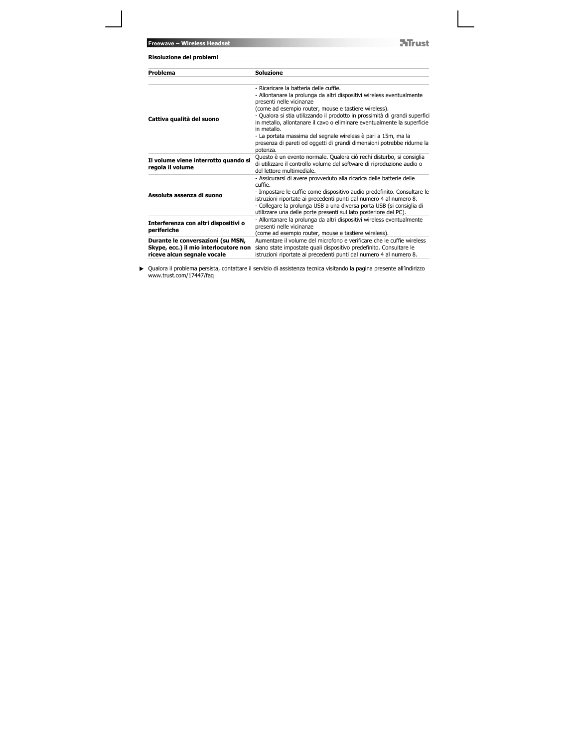**NTrust** 

| Risoluzione dei problemi                                                                                  |                                                                                                                                                                                                                                                                                                                                                                              |
|-----------------------------------------------------------------------------------------------------------|------------------------------------------------------------------------------------------------------------------------------------------------------------------------------------------------------------------------------------------------------------------------------------------------------------------------------------------------------------------------------|
| Problema                                                                                                  | <b>Soluzione</b>                                                                                                                                                                                                                                                                                                                                                             |
| Cattiva qualità del suono                                                                                 | - Ricaricare la batteria delle cuffie.<br>- Allontanare la prolunga da altri dispositivi wireless eventualmente<br>presenti nelle vicinanze<br>(come ad esempio router, mouse e tastiere wireless).<br>- Qualora si stia utilizzando il prodotto in prossimità di grandi superfici<br>in metallo, allontanare il cavo o eliminare eventualmente la superficie<br>in metallo. |
|                                                                                                           | - La portata massima del segnale wireless è pari a 15m, ma la<br>presenza di pareti od oggetti di grandi dimensioni potrebbe ridurne la<br>potenza.                                                                                                                                                                                                                          |
| Il volume viene interrotto quando si<br>regola il volume                                                  | Questo è un evento normale. Qualora ciò rechi disturbo, si consiglia<br>di utilizzare il controllo volume del software di riproduzione audio o<br>del lettore multimediale.                                                                                                                                                                                                  |
| Assoluta assenza di suono                                                                                 | - Assicurarsi di avere provveduto alla ricarica delle batterie delle<br>cuffie.<br>- Impostare le cuffie come dispositivo audio predefinito. Consultare le<br>istruzioni riportate ai precedenti punti dal numero 4 al numero 8.<br>- Collegare la prolunga USB a una diversa porta USB (si consiglia di<br>utilizzare una delle porte presenti sul lato posteriore del PC). |
| Interferenza con altri dispositivi o<br>periferiche                                                       | - Allontanare la prolunga da altri dispositivi wireless eventualmente<br>presenti nelle vicinanze<br>(come ad esempio router, mouse e tastiere wireless).                                                                                                                                                                                                                    |
| Durante le conversazioni (su MSN,<br>Skype, ecc.) il mio interlocutore non<br>riceve alcun segnale vocale | Aumentare il volume del microfono e verificare che le cuffie wireless<br>siano state impostate quali dispositivo predefinito. Consultare le<br>istruzioni riportate ai precedenti punti dal numero 4 al numero 8.                                                                                                                                                            |

Qualora il problema persista, contattare il servizio di assistenza tecnica visitando la pagina presente all'indirizzo www.trust.com/17447/faq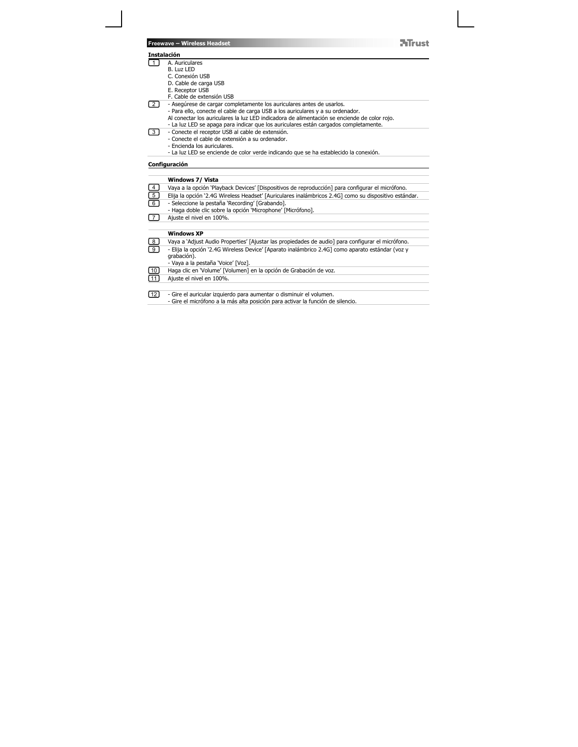#### **Instalación**

- 1 J A. Auriculares<br>B. Luz LED
	- -
		- C. Conexión USB D. Cable de carga USB E. Receptor USB
		-
- F. Cable de extensión USB<br>- Asegúrese de cargar completamente los auriculares antes de usarlos.<br>- Para ello, conecte el cable de carga USB a los auriculares y a su ordenador.<br>Al conectar los auriculares la luz LED indicado 2
	-

**NTrust** 

- 3
	- -
- Conecte el receptor USB al cable de extensión. Conecte el cable de extensión a su ordenador. Encienda los auriculares. La luz LED se enciende de color verde indicando que se ha establecido la conexión.

# **Configuración**

|               | Windows 7/ Vista                                                                                      |
|---------------|-------------------------------------------------------------------------------------------------------|
| $\frac{4}{5}$ | Vaya a la opción 'Playback Devices' [Dispositivos de reproducción] para configurar el micrófono.      |
|               | Elija la opción '2.4G Wireless Headset' [Auriculares inalámbricos 2.4G] como su dispositivo estándar. |
| $\boxed{6}$   | - Seleccione la pestaña 'Recording' [Grabando].                                                       |
|               | - Haga doble clic sobre la opción 'Microphone' [Micrófono].                                           |
| 7             | Ajuste el nivel en 100%.                                                                              |
|               |                                                                                                       |
|               | <b>Windows XP</b>                                                                                     |
| $\frac{1}{9}$ | Vaya a 'Adjust Audio Properties' [Ajustar las propiedades de audio] para configurar el micrófono.     |
|               | - Elija la opción '2.4G Wireless Device' [Aparato inalámbrico 2.4G] como aparato estándar (voz y      |
|               | grabación).                                                                                           |
|               | - Vaya a la pestaña 'Voice' [Voz].                                                                    |
| $\boxed{10}$  | Haga clic en 'Volume' [Volumen] en la opción de Grabación de voz.                                     |
| 11            | Aiuste el nivel en 100%.                                                                              |
|               |                                                                                                       |
| $\boxed{12}$  | - Gire el auricular izquierdo para aumentar o disminuir el volumen.                                   |
|               | - Gire el micrófono a la más alta posición para activar la función de silencio.                       |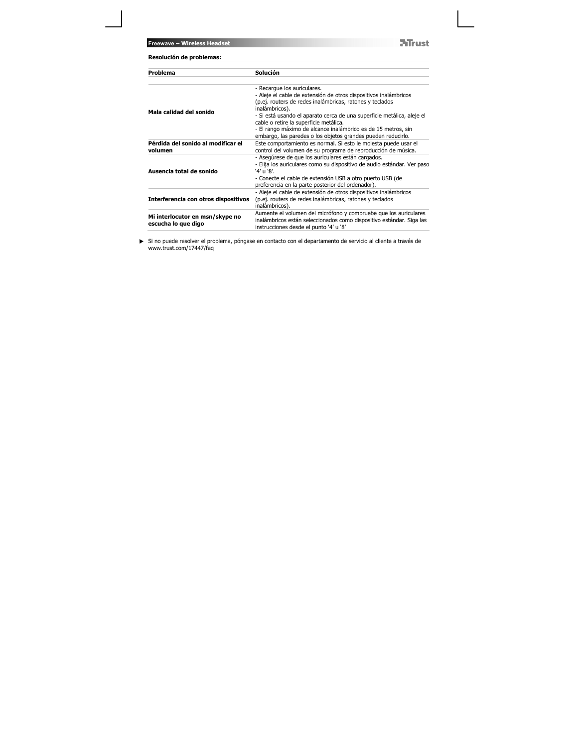**Freewave – Wireless Headset**

**NTrust** 

| Resolución de problemas:                               |                                                                                                                                                                                                                                                                                                                                                                                                                                    |  |
|--------------------------------------------------------|------------------------------------------------------------------------------------------------------------------------------------------------------------------------------------------------------------------------------------------------------------------------------------------------------------------------------------------------------------------------------------------------------------------------------------|--|
| Problema                                               | Solución                                                                                                                                                                                                                                                                                                                                                                                                                           |  |
| Mala calidad del sonido                                | - Recarque los auriculares.<br>- Aleje el cable de extensión de otros dispositivos inalámbricos<br>(p.ej. routers de redes inalámbricas, ratones y teclados<br>inalámbricos).<br>- Si está usando el aparato cerca de una superficie metálica, aleje el<br>cable o retire la superficie metálica.<br>- El rango máximo de alcance inalámbrico es de 15 metros, sin<br>embargo, las paredes o los objetos grandes pueden reducirlo. |  |
| Pérdida del sonido al modificar el<br>volumen          | Este comportamiento es normal. Si esto le molesta puede usar el<br>control del volumen de su programa de reproducción de música.                                                                                                                                                                                                                                                                                                   |  |
| Ausencia total de sonido                               | - Asegúrese de que los auriculares están cargados.<br>- Elija los auriculares como su dispositivo de audio estándar. Ver paso<br>'4' u '8'.<br>- Conecte el cable de extensión USB a otro puerto USB (de<br>preferencia en la parte posterior del ordenador).                                                                                                                                                                      |  |
| Interferencia con otros dispositivos                   | - Aleje el cable de extensión de otros dispositivos inalámbricos<br>(p.ej. routers de redes inalámbricas, ratones y teclados<br>inalámbricos).                                                                                                                                                                                                                                                                                     |  |
| Mi interlocutor en msn/skype no<br>escucha lo que digo | Aumente el volumen del micrófono y compruebe que los auriculares<br>inalámbricos están seleccionados como dispositivo estándar. Siga las<br>instrucciones desde el punto '4' u '8'                                                                                                                                                                                                                                                 |  |

Si no puede resolver el problema, póngase en contacto con el departamento de servicio al cliente a través de www.trust.com/17447/faq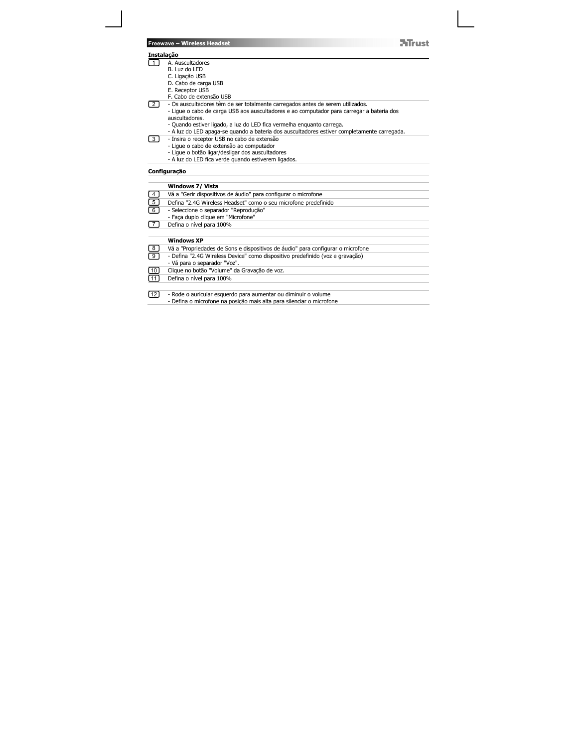**Freewave – Wireless Headset NTrust Instalação**  门 A. Auscultadores B. Luz do LED C. Ligação USB D. Cabo de carga USB E. Receptor USB F. Cabo de extensão USB  $\boxed{2}$ - Os auscultadores têm de ser totalmente carregados antes de serem utilizados. - Ligue o cabo de carga USB aos auscultadores e ao computador para carregar a bateria dos auscultadores. - Quando estiver ligado, a luz do LED fica vermelha enquanto carrega. - A luz do LED apaga-se quando a bateria dos auscultadores estiver completamente carregada.  $\boxed{3}$ - Insira o receptor USB no cabo de extensão - Ligue o cabo de extensão ao computador - Ligue o botão ligar/desligar dos auscultadores - A luz do LED fica verde quando estiverem ligados. **Configuração Windows 7/ Vista**   $\boxed{4}$ Vá a "Gerir dispositivos de áudio" para configurar o microfone 5 Defina "2.4G Wireless Headset" como o seu microfone predefinido <u>ල</u> - Seleccione o separador "Reprodução" - Faça duplo clique em "Microfone" 7 Defina o nível para 100%  **Windows XP**  Vá a "Propriedades de Sons e dispositivos de áudio" para configurar o microfone 8 - Defina "2.4G Wireless Device" como dispositivo predefinido (voz e gravação) 9 - Vá para o separador "Voz".  $\boxed{10}$ Clique no botão "Volume" da Gravação de voz.  $\overline{11}$ Defina o nível para 100%  $\boxed{12}$ - Rode o auricular esquerdo para aumentar ou diminuir o volume - Defina o microfone na posição mais alta para silenciar o microfone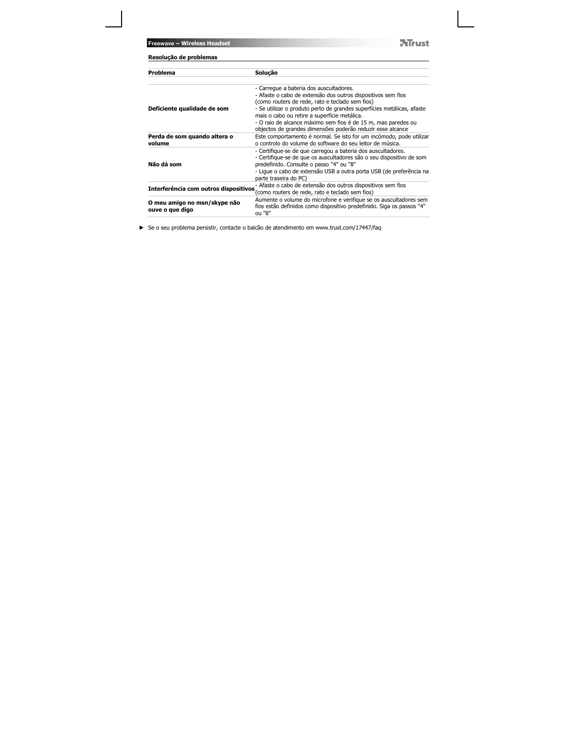**Freewave – Wireless Headset**

**NTrust** 

| Resolução de problemas                          |                                                                                                                                                                                  |
|-------------------------------------------------|----------------------------------------------------------------------------------------------------------------------------------------------------------------------------------|
| Problema                                        | Solução                                                                                                                                                                          |
|                                                 | - Carregue a bateria dos auscultadores.<br>- Afaste o cabo de extensão dos outros dispositivos sem fios                                                                          |
| Deficiente qualidade de som                     | (como routers de rede, rato e teclado sem fios)<br>- Se utilizar o produto perto de grandes superfícies metálicas, afaste<br>mais o cabo ou retire a superfície metálica.        |
|                                                 | - O raio de alcance máximo sem fios é de 15 m, mas paredes ou<br>objectos de grandes dimensões poderão reduzir esse alcance                                                      |
| Perda de som quando altera o<br>volume          | Este comportamento é normal. Se isto for um incómodo, pode utilizar<br>o controlo do volume do software do seu leitor de música.                                                 |
| Não dá som                                      | - Certifique-se de que carregou a bateria dos auscultadores.<br>- Certifique-se de que os auscultadores são o seu dispositivo de som<br>predefinido. Consulte o passo "4" ou "8" |
|                                                 | - Lique o cabo de extensão USB a outra porta USB (de preferência na<br>parte traseira do PC)                                                                                     |
| Interferência com outros dispositivos           | - Afaste o cabo de extensão dos outros dispositivos sem fios<br>(como routers de rede, rato e teclado sem fios)                                                                  |
| O meu amigo no msn/skype não<br>ouve o que digo | Aumente o volume do microfone e verifique se os auscultadores sem<br>fios estão definidos como dispositivo predefinido. Siga os passos "4"<br>ou "8"                             |
|                                                 |                                                                                                                                                                                  |

Se o seu problema persistir, contacte o balcão de atendimento em www.trust.com/17447/faq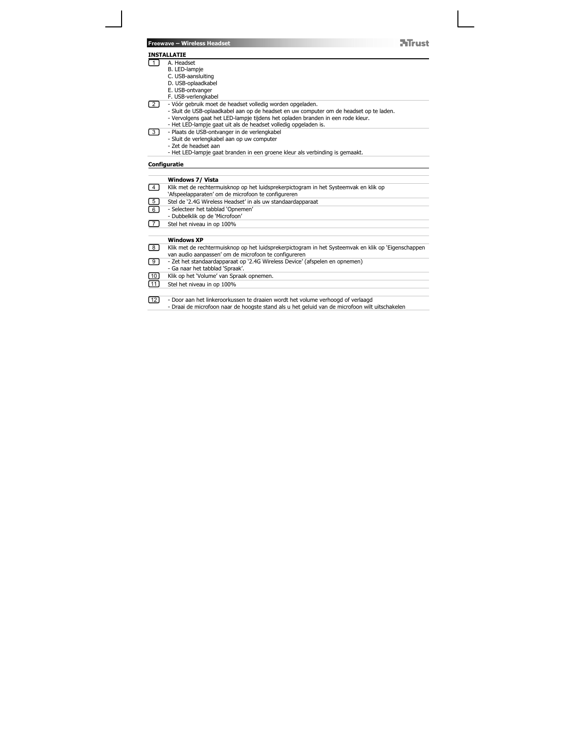## **INSTALLATIE**

2

- 1 A. Headset
	-
	-
	-
	-
	-
- B. LED-lampje<br>
C. USB-ansluiting<br>
D. USB-oplaadkabel<br>
E. USB-ontvanger<br>
F. USB-verlengkabel<br>
2. Vóór gebruik moet de headset volledig worden opgeladen.<br>
2. Vóór gebruik moet de headset volledig worden opgeladen.<br>
 Sluit d

**NTrust** 

- 
- -
	-
	- Sluit de verlengkabel aan op uw computer Zet de headset aan Het LED-lampje gaat branden in een groene kleur als verbinding is gemaakt.

# **Configuratie**

|                   | Windows 7/ Vista                                                                                    |
|-------------------|-----------------------------------------------------------------------------------------------------|
| $\sqrt{4}$        | Klik met de rechtermuisknop op het luidsprekerpictogram in het Systeemvak en klik op                |
|                   | 'Afspeelapparaten' om de microfoon te configureren                                                  |
| $\boxed{5}$       | Stel de '2.4G Wireless Headset' in als uw standaardapparaat                                         |
| ি                 | - Selecteer het tabblad 'Opnemen'                                                                   |
|                   | - Dubbelklik op de 'Microfoon'                                                                      |
| $\sqrt{7}$        | Stel het niveau in op 100%                                                                          |
|                   |                                                                                                     |
|                   | <b>Windows XP</b>                                                                                   |
| $\lceil 8 \rceil$ | Klik met de rechtermuisknop op het luidsprekerpictogram in het Systeemvak en klik op 'Eigenschappen |
|                   | van audio aanpassen' om de microfoon te configureren                                                |
| $\lceil 9 \rceil$ | - Zet het standaardapparaat op '2.4G Wireless Device' (afspelen en opnemen)                         |
|                   | - Ga naar het tabblad 'Spraak'.                                                                     |
| $\boxed{10}$      | Klik op het 'Volume' van Spraak opnemen.                                                            |
| $\boxed{11}$      | Stel het niveau in op 100%                                                                          |
|                   |                                                                                                     |
| [ 12 ]            | - Door aan het linkeroorkussen te draaien wordt het volume verhoogd of verlaagd                     |
|                   | - Draai de microfoon naar de hoogste stand als u het geluid van de microfoon wilt uitschakelen      |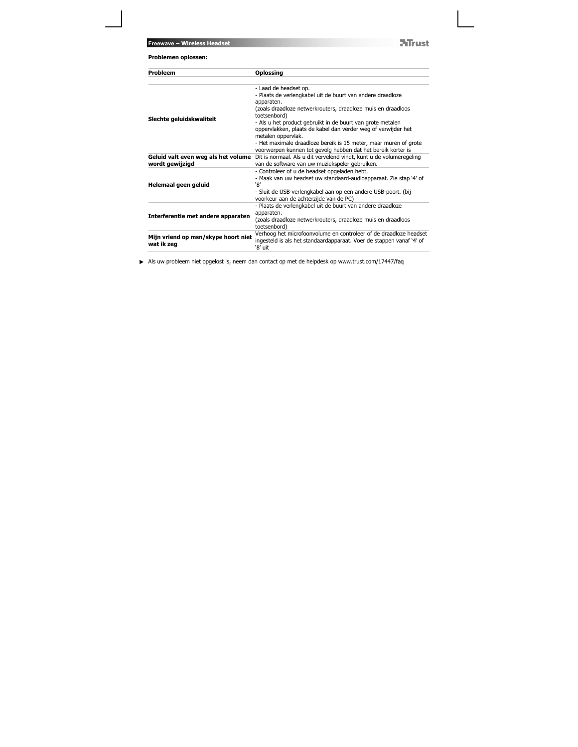**NTrust** 

| Probleem                                               | <b>Oplossing</b>                                                                                                                                     |
|--------------------------------------------------------|------------------------------------------------------------------------------------------------------------------------------------------------------|
| Slechte geluidskwaliteit                               | - Laad de headset op.<br>- Plaats de verlengkabel uit de buurt van andere draadloze                                                                  |
|                                                        | apparaten.<br>(zoals draadloze netwerkrouters, draadloze muis en draadloos<br>toetsenbord)                                                           |
|                                                        | - Als u het product gebruikt in de buurt van grote metalen<br>oppervlakken, plaats de kabel dan verder weg of verwijder het<br>metalen oppervlak.    |
|                                                        | - Het maximale draadloze bereik is 15 meter, maar muren of grote<br>voorwerpen kunnen tot gevolg hebben dat het bereik korter is                     |
| Geluid valt even weg als het volume<br>wordt gewijzigd | Dit is normaal. Als u dit vervelend vindt, kunt u de volumeregeling<br>van de software van uw muziekspeler gebruiken.                                |
|                                                        | - Controleer of u de headset opgeladen hebt.                                                                                                         |
| Helemaal geen geluid                                   | - Maak van uw headset uw standaard-audioapparaat. Zie stap '4' of<br>ነጸ'                                                                             |
|                                                        | - Sluit de USB-verlengkabel aan op een andere USB-poort. (bij<br>voorkeur aan de achterzijde van de PC)                                              |
|                                                        | - Plaats de verlengkabel uit de buurt van andere draadloze<br>apparaten.                                                                             |
| Interferentie met andere apparaten                     | (zoals draadloze netwerkrouters, draadloze muis en draadloos<br>toetsenbord)                                                                         |
| Mijn vriend op msn/skype hoort niet<br>wat ik zeg      | Verhoog het microfoonvolume en controleer of de draadloze headset<br>ingesteld is als het standaardapparaat. Voer de stappen vanaf '4' of<br>'8' uit |

Als uw probleem niet opgelost is, neem dan contact op met de helpdesk op www.trust.com/17447/faq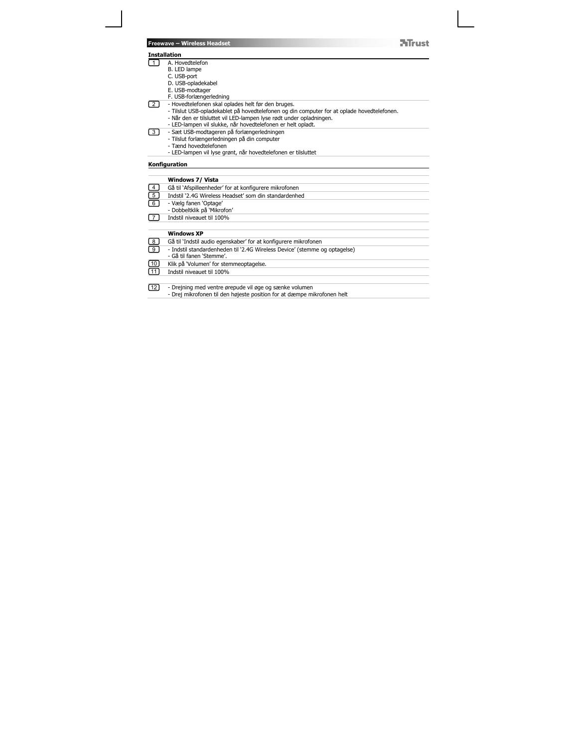| Freewave - Wireless Headset |  |  |
|-----------------------------|--|--|
|                             |  |  |

#### **Installation**

2

- 1
	-
	-
	-
	-
	-
	-
	- A. Hovedtelefon<br>B. LED lampe<br>C. USB-port<br>F. USB-modtager<br>F. USB-modtager<br>F. USB-forlængerledning<br>- Hovedtelefonen skal oplades helt før den bruges.<br>- När den er tilsluttet vil LED-lampen lyse rødt under opladiningen.<br>- När

**NTrust** 

- 
- 3
	-
- Sæt USB-modtageren på forlængerledningen Tilslut forlængerledningen på din computer Tænd hovedtelefonen LED-lampen vil lyse grønt, når hovedtelefonen er tilsluttet

### **Konfiguration**

|              | Windows 7/ Vista                                                           |
|--------------|----------------------------------------------------------------------------|
| ြောမြ        | Gå til 'Afspilleenheder' for at konfigurere mikrofonen                     |
|              | Indstil '2.4G Wireless Headset' som din standardenhed                      |
|              | - Vælg fanen 'Optage'<br>- Dobbeltklik på 'Mikrofon'                       |
| $\sqrt{7}$   | Indstil niveauet til 100%                                                  |
|              |                                                                            |
|              | <b>Windows XP</b>                                                          |
|              | Gå til 'Indstil audio egenskaber' for at konfigurere mikrofonen            |
| e<br>9       | - Indstil standardenheden til '2.4G Wireless Device' (stemme og optagelse) |
|              | - Gå til fanen 'Stemme'.                                                   |
| 回田           | Klik på 'Volumen' for stemmeoptagelse.                                     |
|              | Indstil niveauet til 100%                                                  |
|              |                                                                            |
| $\boxed{12}$ | - Drejning med ventre ørepude vil øge og sænke volumen                     |
|              | - Drej mikrofonen til den højeste position for at dæmpe mikrofonen helt    |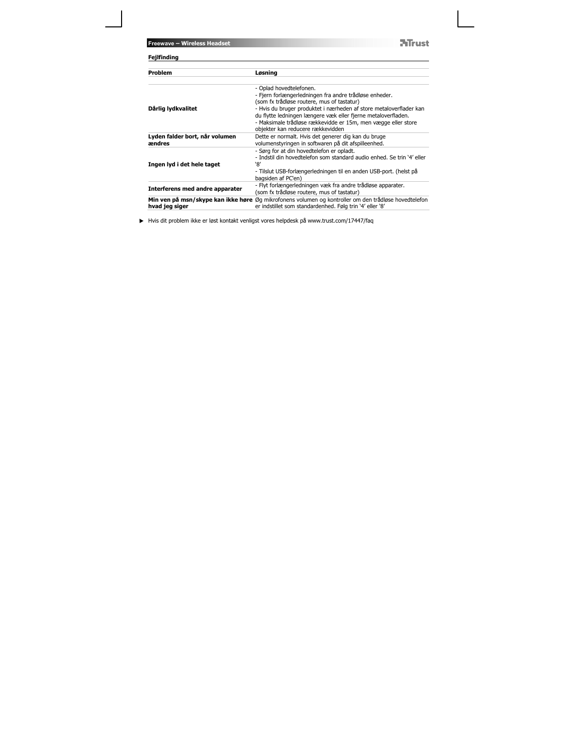**ATrust** 

| Fejlfinding                              |                                                                                                                                                                                                                                           |
|------------------------------------------|-------------------------------------------------------------------------------------------------------------------------------------------------------------------------------------------------------------------------------------------|
| Problem                                  | Løsning                                                                                                                                                                                                                                   |
|                                          | - Oplad hovedtelefonen.<br>- Fjern forlængerledningen fra andre trådløse enheder.<br>(som fx trådløse routere, mus of tastatur)                                                                                                           |
| Dårlig lydkvalitet                       | - Hvis du bruger produktet i nærheden af store metaloverflader kan<br>du flytte ledningen længere væk eller fjerne metaloverfladen.<br>- Maksimale trådløse rækkevidde er 15m, men vægge eller store<br>objekter kan reducere rækkevidden |
| Lyden falder bort, når volumen<br>ændres | Dette er normalt. Hvis det generer dig kan du bruge<br>volumenstyringen in softwaren på dit afspilleenhed.                                                                                                                                |
| Ingen lyd i det hele taget               | - Sørg for at din hovedtelefon er opladt.<br>- Indstil din hovedtelefon som standard audio enhed. Se trin '4' eller<br>`8′<br>- Tilslut USB-forlængerledningen til en anden USB-port. (helst på<br>bagsiden af PC'en)                     |
| Interferens med andre apparater          | - Flyt forlængerledningen væk fra andre trådløse apparater.<br>(som fx trådløse routere, mus of tastatur)                                                                                                                                 |
| hvad jeg siger                           | Min ven på msn/skype kan ikke høre Øg mikrofonens volumen og kontroller om den trådløse hovedtelefon<br>er indstillet som standardenhed. Følg trin '4' eller '8'                                                                          |

Hvis dit problem ikke er løst kontakt venligst vores helpdesk på www.trust.com/17447/faq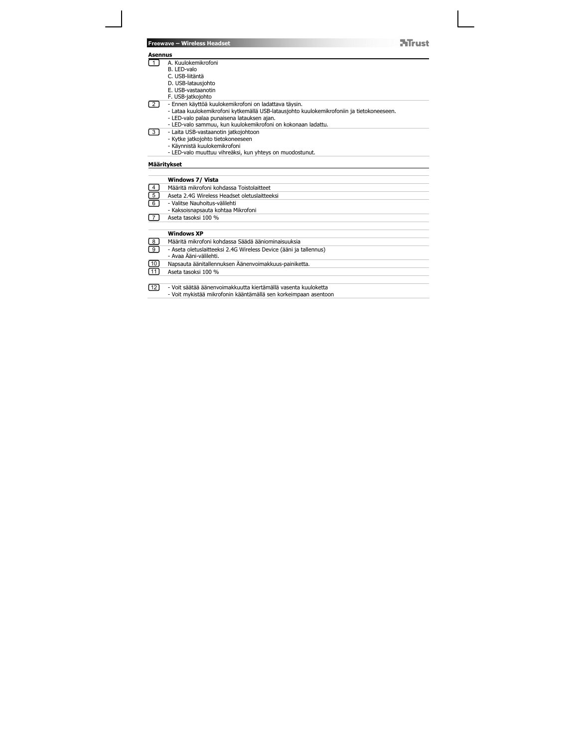| <b>Freewave - Wireless Headset</b> |  |  |  |
|------------------------------------|--|--|--|
|------------------------------------|--|--|--|

**Asennus**  1

- 
- 
- 
- 
- 
- 2
- A. Kuulokemikrofoni<br>B. LED-valo<br>C. USB-latausjohto<br>C. USB-latausjohto<br>F. USB-vastaanothi<br>F. USB-vastaanothi<br>- Ennen käyttöä kuulokemikrofoni on ladattava täysin.<br>- Lataa kuulokemikrofoni kytkemällä USB-latausjohto kuulokem

**NTrust** 

- 
- 3
	-
	-

# **Määritykset**

|              | Windows 7/ Vista                                                  |
|--------------|-------------------------------------------------------------------|
| ede          | Määritä mikrofoni kohdassa Toistolaitteet                         |
|              | Aseta 2.4G Wireless Headset oletuslaitteeksi                      |
|              | - Valitse Nauhoitus-välilehti                                     |
|              | - Kaksoisnapsauta kohtaa Mikrofoni                                |
| $\sqrt{7}$   | Aseta tasoksi 100 %                                               |
|              |                                                                   |
|              | <b>Windows XP</b>                                                 |
| $\boxed{8}$  | Määritä mikrofoni kohdassa Säädä ääniominaisuuksia                |
| ๏            | - Aseta oletuslaitteeksi 2.4G Wireless Device (ääni ja tallennus) |
|              | - Avaa Ääni-välilehti.                                            |
| 回田           | Napsauta äänitallennuksen Äänenvoimakkuus-painiketta.             |
|              | Aseta tasoksi 100 %                                               |
|              |                                                                   |
| $\boxed{12}$ | - Voit säätää äänenvoimakkuutta kiertämällä vasenta kuuloketta    |
|              | - Voit mykistää mikrofonin kääntämällä sen korkeimpaan asentoon   |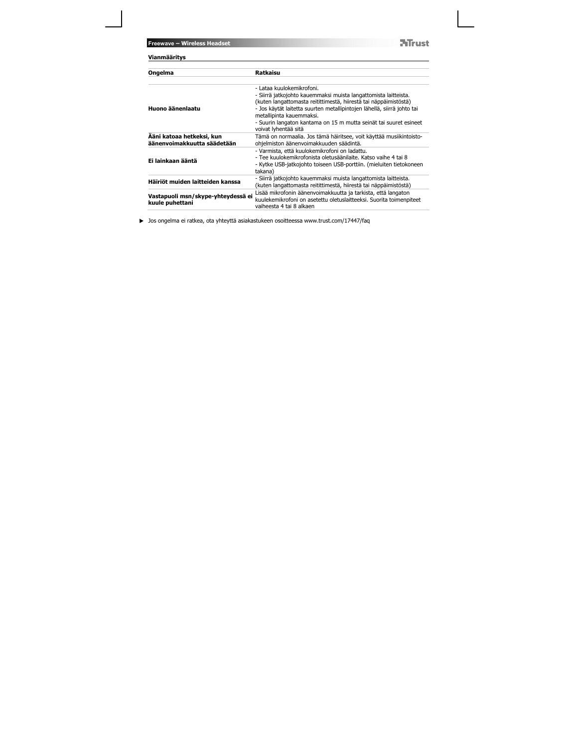**ATrust** 

| Vianmääritys                                          |                                                                                                                                                                                                                                                                                                                                                                      |
|-------------------------------------------------------|----------------------------------------------------------------------------------------------------------------------------------------------------------------------------------------------------------------------------------------------------------------------------------------------------------------------------------------------------------------------|
| Ongelma                                               | Ratkaisu                                                                                                                                                                                                                                                                                                                                                             |
| Huono äänenlaatu                                      | - Lataa kuulokemikrofoni.<br>- Siirrä jatkojohto kauemmaksi muista langattomista laitteista.<br>(kuten langattomasta reitittimestä, hiirestä tai näppäimistöstä)<br>- Jos käytät laitetta suurten metallipintojen lähellä, siirrä johto tai<br>metallipinta kauemmaksi.<br>- Suurin langaton kantama on 15 m mutta seinät tai suuret esineet<br>voivat lyhentää sitä |
| Ääni katoaa hetkeksi, kun                             | Tämä on normaalia. Jos tämä häiritsee, voit käyttää musiikintoisto-                                                                                                                                                                                                                                                                                                  |
| äänenvoimakkuutta säädetään<br>Ei lainkaan ääntä      | ohielmiston äänenvoimakkuuden säädintä.<br>- Varmista, että kuulokemikrofoni on ladattu.<br>- Tee kuulokemikrofonista oletusäänilaite. Katso vaihe 4 tai 8<br>- Kytke USB-jatkojohto toiseen USB-porttiin. (mieluiten tietokoneen<br>takana)                                                                                                                         |
| Häiriöt muiden laitteiden kanssa                      | - Siirrä jatkojohto kauemmaksi muista langattomista laitteista.<br>(kuten langattomasta reitittimestä, hiirestä tai näppäimistöstä)                                                                                                                                                                                                                                  |
| Vastapuoli msn/skype-yhteydessä ei<br>kuule puhettani | Lisää mikrofonin äänenvoimakkuutta ja tarkista, että langaton<br>kuulekemikrofoni on asetettu oletuslaitteeksi. Suorita toimenpiteet<br>vaiheesta 4 tai 8 alkaen                                                                                                                                                                                                     |

Jos ongelma ei ratkea, ota yhteyttä asiakastukeen osoitteessa www.trust.com/17447/faq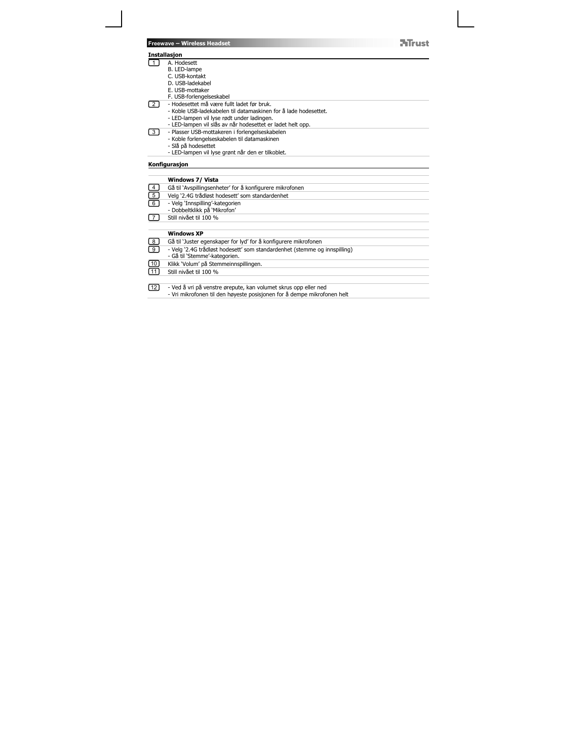### **Installasjon**

- 1
- A. Hodesett B. LED-lampe C. USB-kontakt D. USB-ladekabel E. USB-mottaker
	-
	-
	-
- 2
- F. USB-forlengelseskabel<br>- Hodesettet må være fullt ladet før bruk.<br>- Koble USB-ladekabelen til datamaskinen for å lade hodesettet.<br>- LED-lampen vil ylse rødt under ladingen.<br>- LED-lampen vil slås av når hodesettet er lade
- 
- Plasser USB-mottakeren i forlengelseskabelen Koble forlengelseskabelen til datamaskinen Slå på hodesettet LED-lampen vil lyse grønt når den er tilkoblet. 3
	-
	-
	-

### **Konfigurasjon**

|                                | Windows 7/ Vista                                                                                                                           |
|--------------------------------|--------------------------------------------------------------------------------------------------------------------------------------------|
| $\left\lfloor 4 \right\rfloor$ | Gå til 'Avspillingsenheter' for å konfigurere mikrofonen                                                                                   |
| $\boxed{5}$                    | Velg '2.4G trådløst hodesett' som standardenhet                                                                                            |
| ি।                             | - Vela 'Innspilling'-kategorien<br>- Dobbeltklikk på 'Mikrofon'                                                                            |
|                                | Still nivået til 100 %                                                                                                                     |
|                                |                                                                                                                                            |
|                                | <b>Windows XP</b>                                                                                                                          |
| $\boxed{8}$                    | Gå til 'Juster egenskaper for lyd' for å konfigurere mikrofonen                                                                            |
| णि                             | - Velg '2.4G trådløst hodesett' som standardenhet (stemme og innspilling)                                                                  |
|                                | - Gå til 'Stemme'-kategorien.                                                                                                              |
| $\boxed{10}$                   | Klikk 'Volum' på Stemmeinnspillingen.                                                                                                      |
| $\sqrt{11}$                    | Still nivået til 100 %                                                                                                                     |
|                                |                                                                                                                                            |
| [12]                           | - Ved å vri på venstre ørepute, kan volumet skrus opp eller ned<br>- Vri mikrofonen til den høyeste posisjonen for å dempe mikrofonen helt |

**ATrust**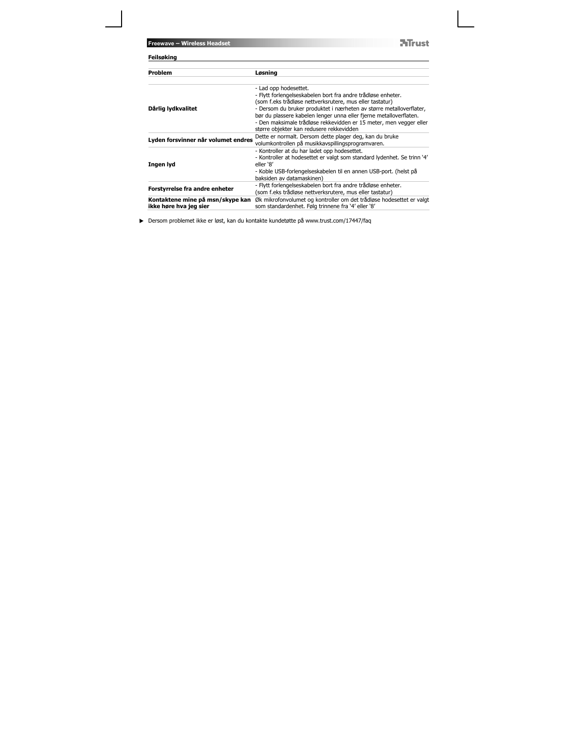**NTrust** 

| Feilsøking                                                 |                                                                                                                                                                                                                                                                                                                                                                                                                  |
|------------------------------------------------------------|------------------------------------------------------------------------------------------------------------------------------------------------------------------------------------------------------------------------------------------------------------------------------------------------------------------------------------------------------------------------------------------------------------------|
| Problem                                                    | Løsning                                                                                                                                                                                                                                                                                                                                                                                                          |
| Dårlig lydkvalitet                                         | - Lad opp hodesettet.<br>- Flytt forlengelseskabelen bort fra andre trådløse enheter.<br>(som f.eks trådløse nettverksrutere, mus eller tastatur)<br>- Dersom du bruker produktet i nærheten av større metalloverflater,<br>bør du plassere kabelen lenger unna eller fjerne metalloverflaten.<br>- Den maksimale trådløse rekkevidden er 15 meter, men vegger eller<br>større objekter kan redusere rekkevidden |
| Lyden forsvinner når volumet endres                        | Dette er normalt. Dersom dette plager deg, kan du bruke<br>volumkontrollen på musikkavspillingsprogramvaren.                                                                                                                                                                                                                                                                                                     |
| Ingen lyd                                                  | - Kontroller at du har ladet opp hodesettet.<br>- Kontroller at hodesettet er valgt som standard lydenhet. Se trinn '4'<br>eller '8'<br>- Koble USB-forlengelseskabelen til en annen USB-port. (helst på<br>baksiden av datamaskinen)                                                                                                                                                                            |
| Forstyrrelse fra andre enheter                             | - Flytt forlengelseskabelen bort fra andre trådløse enheter.<br>(som f.eks trådløse nettverksrutere, mus eller tastatur)                                                                                                                                                                                                                                                                                         |
| Kontaktene mine på msn/skype kan<br>ikke høre hva jeg sier | Øk mikrofonvolumet og kontroller om det trådløse hodesettet er valgt<br>som standardenhet. Følg trinnene fra '4' eller '8'                                                                                                                                                                                                                                                                                       |

Dersom problemet ikke er løst, kan du kontakte kundetøtte på www.trust.com/17447/faq

**Freewave – Wireless Headset**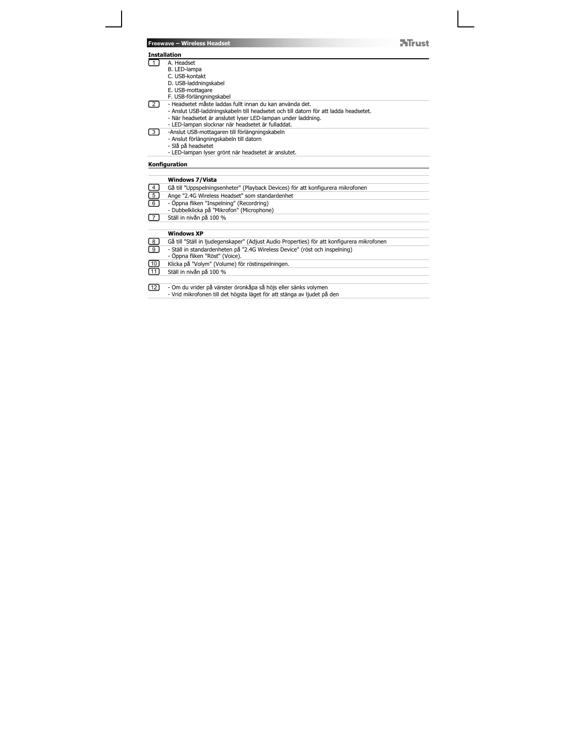### **Installation**

2

- 1
	-
- A. Headset<br>B. LED-lampa<br>C. USB-kontakt<br>D. USB-laddningskabel<br>E. USB-mottagare
	-
	-
	-
	- F. USB-förlängningskabel<br>- Headsetet måste laddas fullt innan du kan använda det.<br>- Anslut USB-laddningskabeln till headsetet och till datorn för att ladda headsetet.<br>- När headsetet är anslutet lyser LED-lampan under ladd
- 
- -Anslut USB-mottagaren till förlängningskabeln Anslut förlängningskabeln till datorn Slå på headsetet LED-lampan lyser grönt när headsetet är anslutet. 3
	-
	-
	-

### **Konfiguration**

|                                                      | <b>Windows 7/Vista</b>                                                                     |
|------------------------------------------------------|--------------------------------------------------------------------------------------------|
|                                                      | Gå till "Uppspelningsenheter" (Playback Devices) för att konfigurera mikrofonen            |
|                                                      | Ange "2.4G Wireless Headset" som standardenhet                                             |
|                                                      | - Öppna fliken "Inspelning" (Recordring)                                                   |
|                                                      | - Dubbelklicka på "Mikrofon" (Microphone)                                                  |
| 7                                                    | Ställ in nivån på 100 %                                                                    |
|                                                      |                                                                                            |
|                                                      | <b>Windows XP</b>                                                                          |
| $\begin{array}{c} \boxed{8} \ \boxed{9} \end{array}$ | Gå till "Ställ in ljudegenskaper" (Adjust Audio Properties) för att konfigurera mikrofonen |
|                                                      | - Ställ in standardenheten på "2.4G Wireless Device" (röst och inspelning)                 |
|                                                      | - Öppna fliken "Röst" (Voice).                                                             |
| $\frac{10}{11}$                                      | Klicka på "Volym" (Volume) för röstinspelningen.                                           |
|                                                      | Ställ in nivån på 100 %                                                                    |
|                                                      |                                                                                            |
| $\boxed{12}$                                         | - Om du vrider på vänster öronkåpa så höjs eller sänks volymen                             |
|                                                      | - Vrid mikrofonen till det högsta läget för att stänga av ljudet på den                    |

**NTrust**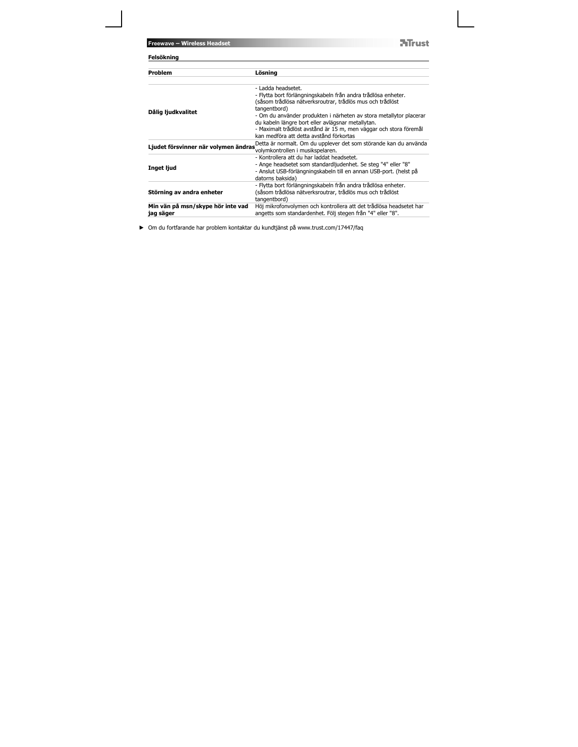**NTrust** 

| Felsökning                                     |                                                                                                                                                                                                                                                                                                                                                                                                             |
|------------------------------------------------|-------------------------------------------------------------------------------------------------------------------------------------------------------------------------------------------------------------------------------------------------------------------------------------------------------------------------------------------------------------------------------------------------------------|
| Problem                                        | Lösning                                                                                                                                                                                                                                                                                                                                                                                                     |
| Dålig ljudkvalitet                             | - Ladda headsetet.<br>- Flytta bort förlängningskabeln från andra trådlösa enheter.<br>(såsom trådlösa nätverksroutrar, trådlös mus och trådlöst<br>tangentbord)<br>- Om du använder produkten i närheten av stora metallytor placerar<br>du kabeln längre bort eller avlägsnar metallytan.<br>- Maximalt trådlöst avstånd är 15 m, men väggar och stora föremål<br>kan medföra att detta avstånd förkortas |
| Ljudet försvinner när volymen ändras           | Detta är normalt. Om du upplever det som störande kan du använda<br>volymkontrollen i musikspelaren.                                                                                                                                                                                                                                                                                                        |
| Inget ljud                                     | - Kontrollera att du har laddat headsetet.<br>- Ange headsetet som standardljudenhet. Se steg "4" eller "8"<br>- Anslut USB-förlängningskabeln till en annan USB-port. (helst på<br>datorns baksida)                                                                                                                                                                                                        |
| Störning av andra enheter                      | - Flytta bort förlängningskabeln från andra trådlösa enheter.<br>(såsom trådlösa nätverksroutrar, trådlös mus och trådlöst<br>tangentbord)                                                                                                                                                                                                                                                                  |
| Min vän på msn/skype hör inte vad<br>jag säger | Höj mikrofonvolymen och kontrollera att det trådlösa headsetet har<br>angetts som standardenhet. Följ stegen från "4" eller "8".                                                                                                                                                                                                                                                                            |

Om du fortfarande har problem kontaktar du kundtjänst på www.trust.com/17447/faq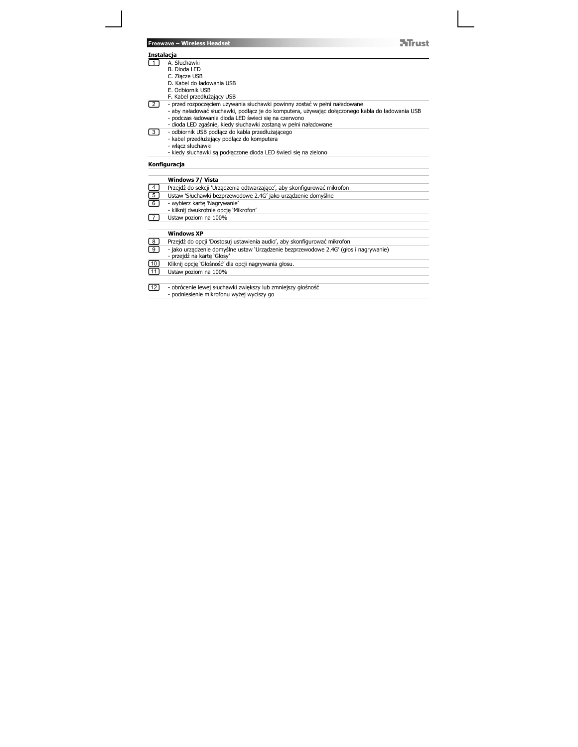| Freewave - Wireless Headset |  |  |
|-----------------------------|--|--|
|                             |  |  |

### **ATrust**

#### **Instalacja**

2

- 1 J A. Słuchawki<br>B. Dioda LED
	-
	- C. Złącze USB<br>D. Kabel do ładowania USB<br>E. Odbiornik USB
	-
	- F. Kabel przedłużający USB
	-
	- przed rozpoczęciem używania słuchawki powinny zostać w pełni naładowane<br>- aby naładować słuchawki, podłącz je do komputera, używając dołączonego kabla do ładowania USB<br>- podczas ładowania dioda LED świeci się na czerwono
- 
- 3
	-
- odbiornik USB podłącz do kabla przedłużającego kabel przedłużający podłącz do komputera włącz słuchawki kiedy słuchawki są podłączone dioda LED świeci się na zielono

## **Konfiguracja**

|                 | Windows 7/ Vista                                                                                                   |
|-----------------|--------------------------------------------------------------------------------------------------------------------|
| $\boxed{4}$     | Przejdź do sekcji 'Urządzenia odtwarzające', aby skonfigurować mikrofon                                            |
| ed              | Ustaw 'Słuchawki bezprzewodowe 2.4G' jako urządzenie domyślne                                                      |
|                 | - wybierz kartę 'Nagrywanie'<br>- kliknij dwukrotnie opcję 'Mikrofon'                                              |
| ſ 7             | Ustaw poziom na 100%                                                                                               |
|                 |                                                                                                                    |
|                 | <b>Windows XP</b>                                                                                                  |
| e<br>9          | Przejdź do opcji 'Dostosuj ustawienia audio', aby skonfigurować mikrofon                                           |
|                 | - jako urządzenie domyślne ustaw 'Urządzenie bezprzewodowe 2.4G' (głos i nagrywanie)<br>- przeidź na karte 'Głosy' |
| $\frac{10}{11}$ | Kliknij opcje 'Głośność' dla opcji nagrywania głosu.                                                               |
|                 | Ustaw poziom na 100%                                                                                               |
|                 |                                                                                                                    |
| $\boxed{12}$    | - obrócenie lewej słuchawki zwiększy lub zmniejszy głośność<br>- podniesienie mikrofonu wyżej wyciszy go           |
|                 |                                                                                                                    |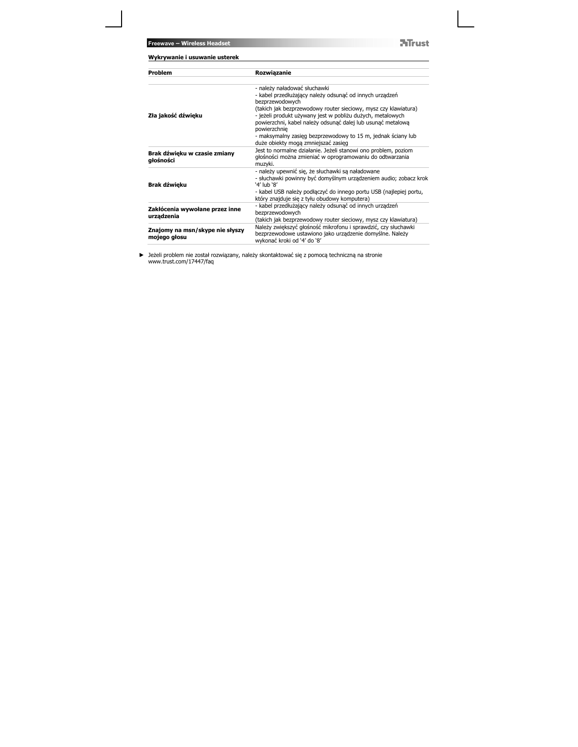**ATrust** 

| Wykrywanie i usuwanie usterek                   |                                                                                                                                                                                                                                                                                                                            |  |
|-------------------------------------------------|----------------------------------------------------------------------------------------------------------------------------------------------------------------------------------------------------------------------------------------------------------------------------------------------------------------------------|--|
| Problem                                         | Rozwiązanie                                                                                                                                                                                                                                                                                                                |  |
| Zła jakość dźwieku                              | - należy naładować słuchawki<br>- kabel przedłużający należy odsunąć od innych urządzeń<br>bezprzewodowych<br>(takich jak bezprzewodowy router sieciowy, mysz czy klawiatura)<br>- jeżeli produkt używany jest w pobliżu dużych, metalowych<br>powierzchni, kabel należy odsunąć dalej lub usunąć metalową<br>powierzchnie |  |
| Brak dźwięku w czasie zmiany<br>głośności       | - maksymalny zasięg bezprzewodowy to 15 m, jednak ściany lub<br>duże obiekty mogą zmniejszać zasięg<br>Jest to normalne działanie. Jeżeli stanowi ono problem, poziom<br>głośności można zmieniać w oprogramowaniu do odtwarzania<br>muzyki.                                                                               |  |
| Brak dźwięku                                    | - należy upewnić się, że słuchawki są naładowane<br>- słuchawki powinny być domyślnym urządzeniem audio; zobacz krok<br>'4' lub '8'<br>- kabel USB należy podłączyć do innego portu USB (najlepiej portu,<br>który znajduje się z tyłu obudowy komputera)                                                                  |  |
| Zakłócenia wywołane przez inne<br>urzadzenia    | - kabel przedłużający należy odsunąć od innych urządzeń<br>bezprzewodowych<br>(takich jak bezprzewodowy router sieciowy, mysz czy klawiatura)                                                                                                                                                                              |  |
| Znajomy na msn/skype nie słyszy<br>mojego głosu | Należy zwiększyć głośność mikrofonu i sprawdzić, czy słuchawki<br>bezprzewodowe ustawiono jako urządzenie domyślne. Należy<br>wykonać kroki od '4' do '8'                                                                                                                                                                  |  |

Jeżeli problem nie został rozwiązany, należy skontaktować się z pomocą techniczną na stronie www.trust.com/17447/faq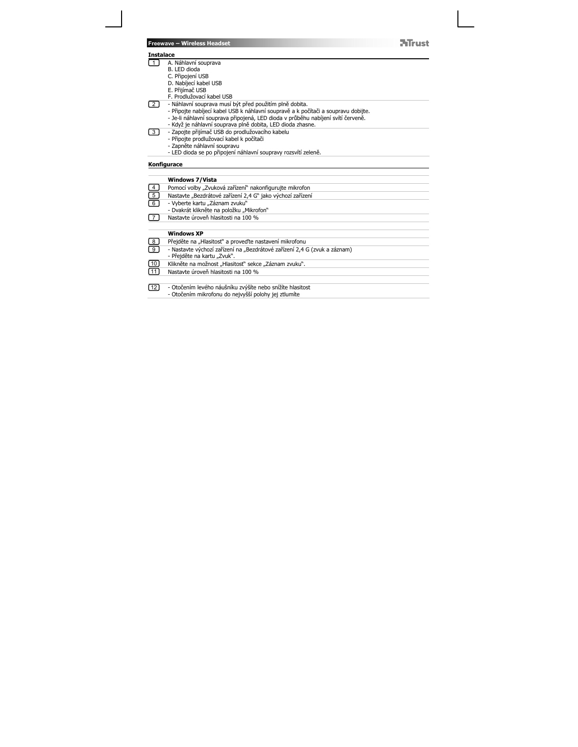|                   | <b>Freewave - Wireless Headset</b>                                                 |  |
|-------------------|------------------------------------------------------------------------------------|--|
| Instalace         |                                                                                    |  |
| 1 <sup>1</sup>    | A. Náhlavní souprava                                                               |  |
|                   | B. I ED dioda                                                                      |  |
|                   | C. Připojení USB                                                                   |  |
|                   | D. Nabíjecí kabel USB                                                              |  |
|                   | E. Přijímač USB                                                                    |  |
|                   | F. Prodlužovací kabel USB                                                          |  |
|                   | - Náhlavní souprava musí být před použitím plně dobita.                            |  |
|                   | - Připojte nabíjecí kabel USB k náhlavní soupravě a k počítači a soupravu dobijte. |  |
|                   | - Je-li náhlavní souprava připojená, LED dioda v průběhu nabíjení svítí červeně.   |  |
|                   | - Když je náhlavní souprava plně dobita, LED dioda zhasne.                         |  |
| $\lceil 3 \rceil$ | - Zapojte přijímač USB do prodlužovacího kabelu                                    |  |
|                   | - Připojte prodlužovací kabel k počítači                                           |  |
|                   | - Zapněte náhlavní soupravu                                                        |  |
|                   | - LED dioda se po připojení náhlavní soupravy rozsvítí zeleně.                     |  |
|                   | Konfigurace                                                                        |  |
|                   | <b>Windows 7/Vista</b>                                                             |  |
|                   |                                                                                    |  |
|                   | Pomocí volby "Zvuková zařízení" nakonfigurujte mikrofon                            |  |
| $\overline{5}$    | Nastavte "Bezdrátové zařízení 2,4 G" jako výchozí zařízení                         |  |
| 6                 | - Vyberte kartu "Záznam zvuku"                                                     |  |
|                   | - Dvakrát klikněte na položku "Mikrofon"                                           |  |
|                   | Nastavte úroveň hlasitosti na 100 %                                                |  |
|                   | <b>Windows XP</b>                                                                  |  |
| 8                 | Přejděte na "Hlasitost" a proveďte nastavení mikrofonu                             |  |
| $\overline{9}$    | - Nastavte výchozí zařízení na "Bezdrátové zařízení 2,4 G (zvuk a záznam)          |  |
|                   | - Přejděte na kartu "Zvuk".                                                        |  |
| 10                | Klikněte na možnost "Hlasitost" sekce "Záznam zvuku".                              |  |
|                   |                                                                                    |  |
| 11                | Nastavte úroveň hlasitosti na 100 %                                                |  |
| 1121              | - Otočením levého náušníku zvýšíte nebo snížíte hlasitost                          |  |
|                   | - Otočením mikrofonu do nejvyšší polohy jej ztlumíte                               |  |
|                   |                                                                                    |  |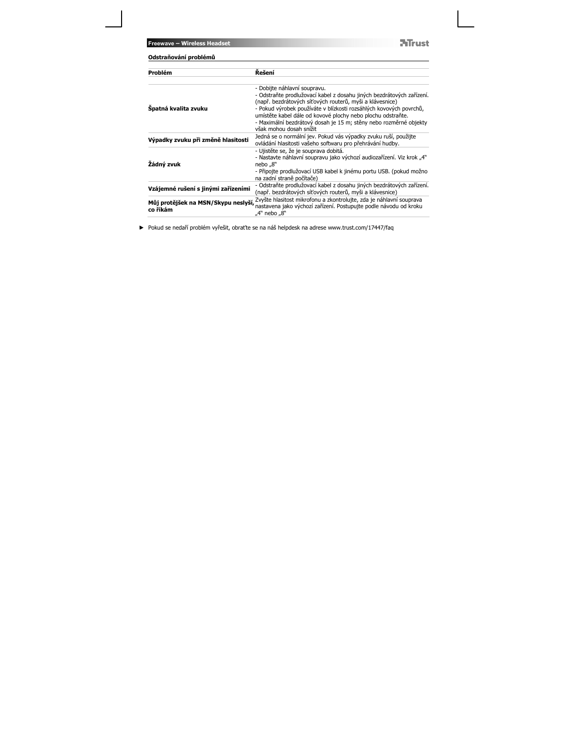**Freewave – Wireless Headset**

**NTrust** 

| Odstraňování problémů                                                                                                                                                                                                                                                                                                                                                                                  |  |  |
|--------------------------------------------------------------------------------------------------------------------------------------------------------------------------------------------------------------------------------------------------------------------------------------------------------------------------------------------------------------------------------------------------------|--|--|
| Řešení                                                                                                                                                                                                                                                                                                                                                                                                 |  |  |
| - Dobijte náhlavní soupravu.<br>- Odstraňte prodlužovací kabel z dosahu jiných bezdrátových zařízení.<br>(např. bezdrátových síťových routerů, myši a klávesnice)<br>- Pokud výrobek používáte v blízkosti rozsáhlých kovových povrchů,<br>umístěte kabel dále od kovové plochy nebo plochu odstraňte.<br>- Maximální bezdrátový dosah je 15 m; stěny nebo rozměrné objekty<br>však mohou dosah snížit |  |  |
| Jedná se o normální jev. Pokud vás výpadky zvuku ruší, použijte<br>ovládání hlasitosti vašeho softwaru pro přehrávání hudby.                                                                                                                                                                                                                                                                           |  |  |
| - Ujistěte se, že je souprava dobitá.<br>- Nastavte náhlavní soupravu jako výchozí audiozařízení. Viz krok "4"<br>nebo "8"<br>- Připojte prodlužovací USB kabel k jinému portu USB. (pokud možno<br>na zadní straně počítače)                                                                                                                                                                          |  |  |
| - Odstraňte prodlužovací kabel z dosahu jiných bezdrátových zařízení.<br>(např. bezdrátových síťových routerů, myši a klávesnice)                                                                                                                                                                                                                                                                      |  |  |
| Zvyšte hlasitost mikrofonu a zkontrolujte, zda je náhlavní souprava<br>Můj protějšek na MSN/Skypu neslyší,<br>nastavena jako výchozí zařízení. Postupujte podle návodu od kroku<br>"4" nebo "8"                                                                                                                                                                                                        |  |  |
|                                                                                                                                                                                                                                                                                                                                                                                                        |  |  |

Pokud se nedaří problém vyřešit, obraťte se na náš helpdesk na adrese www.trust.com/17447/faq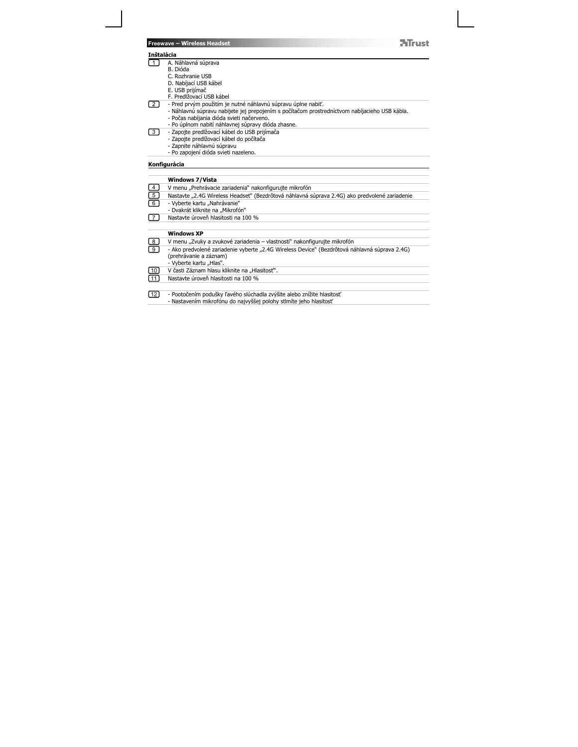|                         | ATruct<br><b>Freewave - Wireless Headset</b>                                                    |
|-------------------------|-------------------------------------------------------------------------------------------------|
| <b>Inštalácia</b>       |                                                                                                 |
| - 1 I                   | A. Náhlavná súprava                                                                             |
|                         | B. Dióda                                                                                        |
|                         | C. Rozhranie USB<br>D. Nabíjací USB kábel                                                       |
|                         | E. USB prijímač                                                                                 |
|                         | F. Predlžovací USB kábel                                                                        |
| 2 I                     | - Pred prvým použitím je nutné náhlavnú súpravu úplne nabiť.                                    |
|                         | - Náhlavnú súpravu nabijete jej prepojením s počítačom prostredníctvom nabíjacieho USB kábla.   |
|                         | - Počas nabíjania dióda svieti načerveno.<br>- Po úplnom nabití náhlavnej súpravy dióda zhasne. |
| $\overline{3}$          | - Zapojte predlžovací kábel do USB prijímača                                                    |
|                         | - Zapojte predlžovací kábel do počítača                                                         |
|                         | - Zapnite náhlavnú súpravu                                                                      |
|                         | - Po zapojení dióda svieti nazeleno.                                                            |
|                         | Konfigurácia                                                                                    |
|                         | <b>Windows 7/Vista</b>                                                                          |
| $\overline{4}$          | V menu "Prehrávacie zariadenia" nakonfigurujte mikrofón                                         |
| $\overline{5}$          | Nastavte "2.4G Wireless Headset" (Bezdrôtová náhlavná súprava 2.4G) ako predvolené zariadenie   |
| 6                       | - Vyberte kartu "Nahrávanie"                                                                    |
|                         | - Dvakrát kliknite na "Mikrofón"                                                                |
| $\overline{7}$          | Nastavte úroveň hlasitosti na 100 %                                                             |
|                         |                                                                                                 |
|                         | <b>Windows XP</b>                                                                               |
| 8                       | V menu "Zvuky a zvukové zariadenia – vlastnosti" nakonfigurujte mikrofón                        |
| $\overline{9}$          | - Ako predvolené zariadenie vyberte "2.4G Wireless Device" (Bezdrôtová náhlavná súprava 2.4G)   |
|                         | (prehrávanie a záznam)                                                                          |
|                         | - Vyberte kartu "Hlas".                                                                         |
| [10]<br>$\overline{11}$ | V časti Záznam hlasu kliknite na "Hlasitost".<br>Nastavte úroveň hlasitosti na 100 %            |
|                         |                                                                                                 |
| $\sqrt{12}$             | - Pootočením podušky ľavého slúchadla zvýšite alebo znížite hlasitosť                           |
|                         | - Nastavením mikrofónu do najvyššej polohy stlmíte jeho hlasitosť                               |
|                         |                                                                                                 |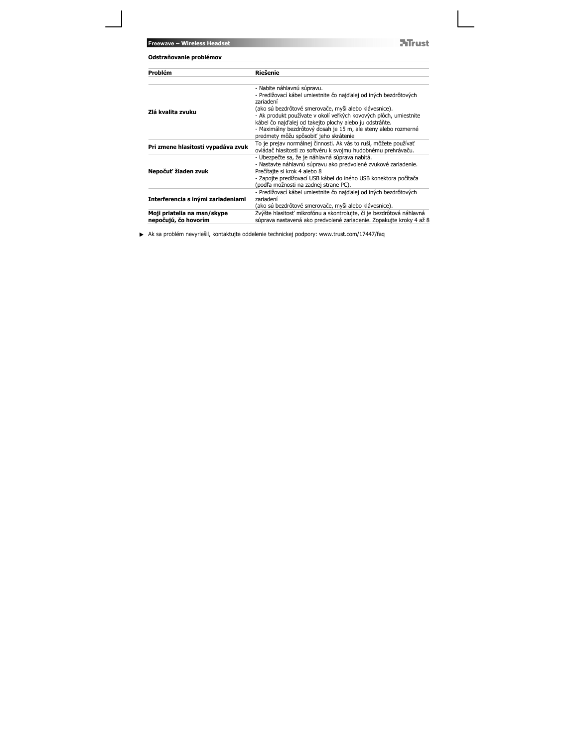**ATrust** 

| Odstraňovanie problémov                             |                                                                                                                                                                                                                                           |
|-----------------------------------------------------|-------------------------------------------------------------------------------------------------------------------------------------------------------------------------------------------------------------------------------------------|
| Problém                                             | Riešenie                                                                                                                                                                                                                                  |
| Zlá kvalita zvuku                                   | - Nabite náhlavnú súpravu.<br>- Predlžovací kábel umiestnite čo najďalej od iných bezdrôtových<br>zariadení<br>(ako sú bezdrôtové smerovače, myši alebo klávesnice).<br>- Ak produkt používate v okolí veľkých kovových plôch, umiestnite |
|                                                     | kábel čo najďalej od takejto plochy alebo ju odstráňte.<br>- Maximálny bezdrôtový dosah je 15 m, ale steny alebo rozmerné<br>predmety môžu spôsobiť jeho skrátenie                                                                        |
| Pri zmene hlasitosti vypadáva zvuk                  | To je prejav normálnej činnosti. Ak vás to ruší, môžete používať<br>ovládač hlasitosti zo softvéru k svojmu hudobnému prehrávaču.                                                                                                         |
| Nepočuť žiaden zvuk                                 | - Ubezpečte sa, že je náhlavná súprava nabitá.<br>- Nastavte náhlavnú súpravu ako predvolené zvukové zariadenie.<br>Prečítajte si krok 4 alebo 8<br>- Zapojte predlžovací USB kábel do iného USB konektora počítača                       |
|                                                     | (podľa možnosti na zadnej strane PC).                                                                                                                                                                                                     |
| Interferencia s inými zariadeniami                  | - Predlžovací kábel umiestnite čo najďalej od iných bezdrôtových<br>zariadení<br>(ako sú bezdrôtové smerovače, myši alebo klávesnice).                                                                                                    |
| Moji priatelia na msn/skype<br>nepočujú, čo hovorím | Zvýšte hlasitosť mikrofónu a skontrolujte, či je bezdrôtová náhlavná<br>súprava nastavená ako predvolené zariadenie. Zopakujte kroky 4 až 8                                                                                               |

Ak sa problém nevyriešil, kontaktujte oddelenie technickej podpory: www.trust.com/17447/faq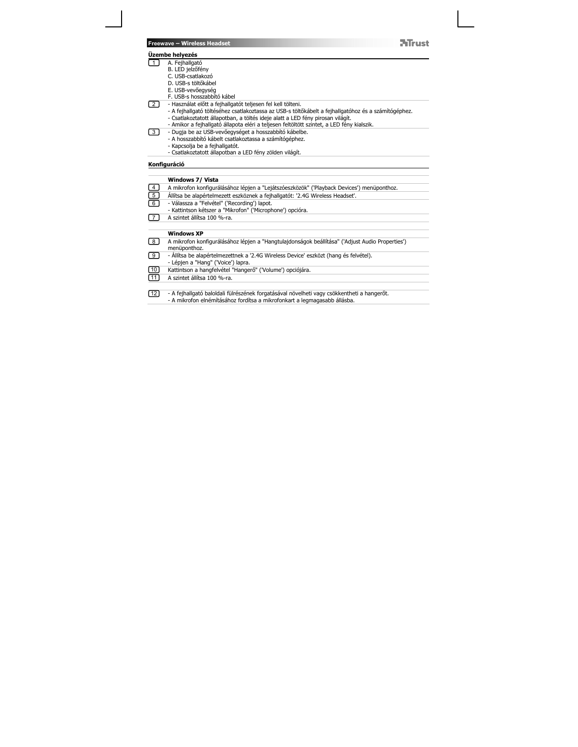#### **Üzembe helyezés**

- 1
	-
	-
	-
- A. Fejhallgató B. LED jelzőfény C. USB-csatlakozó D. USB-s töltőkábel E. USB-vevőegység F. USB-s hosszabbító kábel
- 
- Használat előtt a fejhallgatót teljesen fel kell tölteni.<br>- A fejhallgató töltéséhez csatlakoztassa az USB-s töltőkábelt a fejhallgatóhoz és a számítógéphez.<br>- Csatlakoztatott állapotban, a töltés ideje alatt a LED fény

**ATrust** 

- 
- 3
	-
	-

### **Konfiguráció**

2

|                   | Windows 7/ Vista                                                                                                                                                        |
|-------------------|-------------------------------------------------------------------------------------------------------------------------------------------------------------------------|
| ⊡                 | A mikrofon konfigurálásához lépjen a "Lejátszóeszközök" ('Playback Devices') menüponthoz.                                                                               |
| 靣                 | Állítsa be alapértelmezett eszköznek a fejhallgatót: '2.4G Wireless Headset'.                                                                                           |
| ಠ                 | - Válassza a "Felvétel" ('Recording') lapot.<br>- Kattintson kétszer a "Mikrofon" ('Microphone') opcióra.                                                               |
| 7                 | A szintet állítsa 100 %-ra.                                                                                                                                             |
|                   |                                                                                                                                                                         |
|                   | <b>Windows XP</b>                                                                                                                                                       |
| $\lceil 8 \rceil$ | A mikrofon konfigurálásához lépjen a "Hangtulajdonságok beállítása" ('Adjust Audio Properties')<br>menüponthoz.                                                         |
| 「9]               | - Allítsa be alapértelmezettnek a '2.4G Wireless Device' eszközt (hang és felvétel).<br>- Lépjen a "Hang" ('Voice') lapra.                                              |
| $\boxed{10}$      | Kattintson a hangfelvétel "Hangerő" ('Volume') opciójára.                                                                                                               |
| $\sqrt{11}$       | A szintet állítsa 100 %-ra.                                                                                                                                             |
|                   |                                                                                                                                                                         |
| $\sqrt{12}$       | - A fejhallgató baloldali fülrészének forgatásával növelheti vagy csökkentheti a hangerőt.<br>- A mikrofon elnémításához fordítsa a mikrofonkart a legmagasabb állásba. |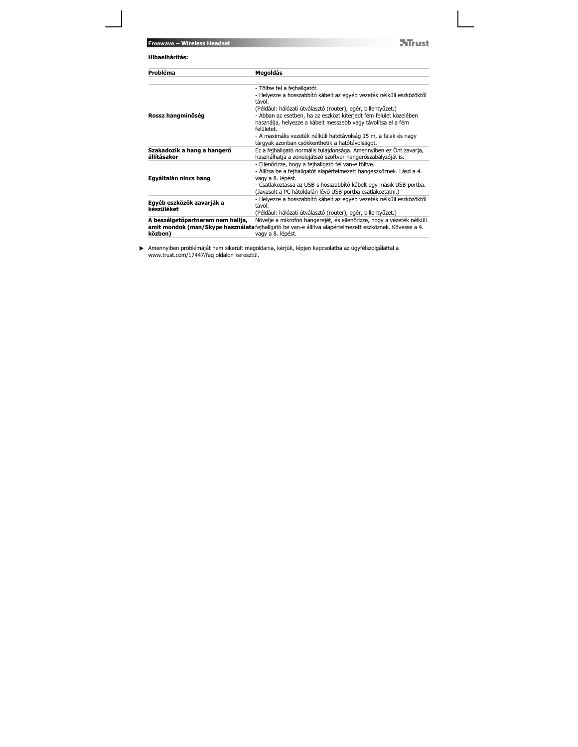**ATrust** 

| Probléma                                     | Megoldás                                                                                                                                                                                                                                                                             |
|----------------------------------------------|--------------------------------------------------------------------------------------------------------------------------------------------------------------------------------------------------------------------------------------------------------------------------------------|
|                                              | - Töltse fel a fejhallgatót.<br>- Helyezze a hosszabbító kábelt az egyéb vezeték nélküli eszközöktől<br>távol.                                                                                                                                                                       |
| Rossz hangminőség                            | (Például: hálózati útválasztó (router), egér, billentyűzet.)<br>- Abban az esetben, ha az eszközt kiterjedt fém felület közelében<br>használja, helyezze a kábelt messzebb vagy távolítsa el a fém<br>felületet.                                                                     |
|                                              | - A maximális vezeték nélküli hatótávolság 15 m, a falak és nagy<br>tárgyak azonban csökkenthetik a hatótávolságot.                                                                                                                                                                  |
| Szakadozik a hang a hangerő<br>állításakor   | Ez a fejhallgató normális tulajdonsága. Amennyiben ez Önt zavarja,<br>használhatja a zenelejátszó szoftver hangerőszabályzóját is.                                                                                                                                                   |
| Egyáltalán nincs hang                        | - Ellenőrizze, hogy a fejhallgató fel van-e töltve.<br>- Állítsa be a fejhallgatót alapértelmezett hangeszköznek. Lásd a 4.<br>vagy a 8. lépést.<br>- Csatlakoztassa az USB-s hosszabbító kábelt egy másik USB-portba.<br>(Javasolt a PC hátoldalán lévő USB-portba csatlakoztatni.) |
| Egyéb eszközök zavarják a<br>készüléket      | - Helyezze a hosszabbító kábelt az egyéb vezeték nélküli eszközöktől<br>távol.<br>(Például: hálózati útválasztó (router), egér, billentyűzet.)                                                                                                                                       |
| A beszélgetőpartnerem nem hallja,<br>közben) | Növelje a mikrofon hangerejét, és ellenőrizze, hogy a vezeték nélküli<br>amit mondok (msn/Skype használata fejhallgató be van-e állítva alapértelmezett eszköznek. Kövesse a 4.<br>vagy a 8. lépést.                                                                                 |

Amennyiben problémáját nem sikerült megoldania, kérjük, lépjen kapcsolatba az ügyfélszolgálattal a www.trust.com/17447/faq oldalon keresztül.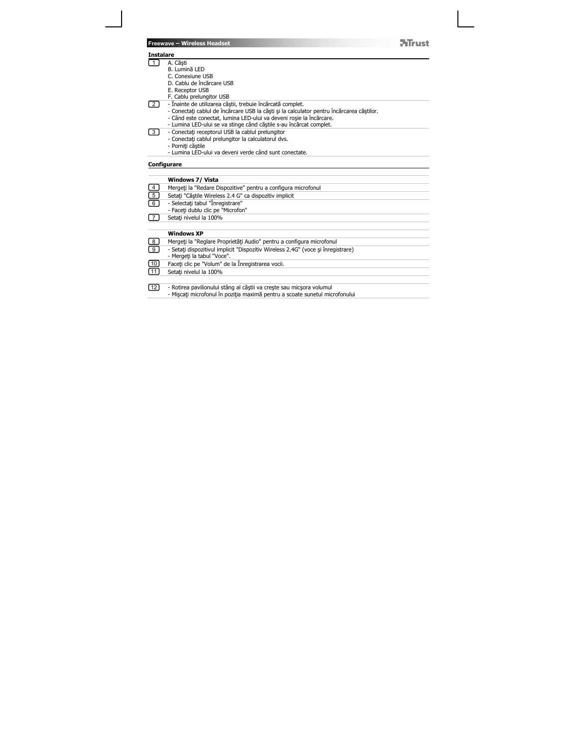|                   | <b>Freewave - Wireless Headset</b>                                                        | <b>Mrust</b> |
|-------------------|-------------------------------------------------------------------------------------------|--------------|
|                   | <b>Instalare</b>                                                                          |              |
| 刀                 | A. Căști                                                                                  |              |
|                   | B. Lumină LED                                                                             |              |
|                   | C. Conexiune USB                                                                          |              |
|                   | D. Cablu de încărcare USB                                                                 |              |
|                   | E. Receptor USB                                                                           |              |
| $\overline{2}$    | F. Cablu prelungitor USB<br>- Înainte de utilizarea căștii, trebuie încărcată complet.    |              |
|                   | - Conectați cablul de încărcare USB la căști și la calculator pentru încărcarea căștilor. |              |
|                   | - Când este conectat, lumina LED-ului va deveni roșie la încărcare.                       |              |
|                   | - Lumina LED-ului se va stinge când căștile s-au încărcat complet.                        |              |
| $\lceil 3 \rceil$ | - Conectati receptorul USB la cablul prelungitor                                          |              |
|                   | - Conectati cablul prelungitor la calculatorul dvs.                                       |              |
|                   | - Porniți căștile                                                                         |              |
|                   | - Lumina LED-ului va deveni verde când sunt conectate.                                    |              |
|                   | Configurare                                                                               |              |
|                   |                                                                                           |              |
|                   | <b>Windows 7/ Vista</b>                                                                   |              |
|                   | Mergeți la "Redare Dispozitive" pentru a configura microfonul                             |              |
| $\frac{4}{5}$     | Setati "Căștile Wireless 2.4 G" ca dispozitiv implicit                                    |              |
| $\overline{6}$    | - Selectati tabul "Înregistrare"                                                          |              |
|                   | - Faceti dublu clic pe "Microfon"                                                         |              |
| $\overline{7}$    | Setati nivelul la 100%                                                                    |              |
|                   | <b>Windows XP</b>                                                                         |              |
| 8                 | Mergeți la "Reglare Proprietăți Audio" pentru a configura microfonul                      |              |
| ॿ                 | - Setați dispozitivul implicit "Dispozitiv Wireless 2.4G" (voce și înregistrare)          |              |
|                   | - Mergeți la tabul "Voce".                                                                |              |
| 10                | Faceti clic pe "Volum" de la Înregistrarea vocii.                                         |              |
| 11                | Setati nivelul la 100%                                                                    |              |
|                   |                                                                                           |              |
| 121               | - Rotirea pavilionului stâng al căștii va crește sau micșora volumul                      |              |
|                   |                                                                                           |              |

÷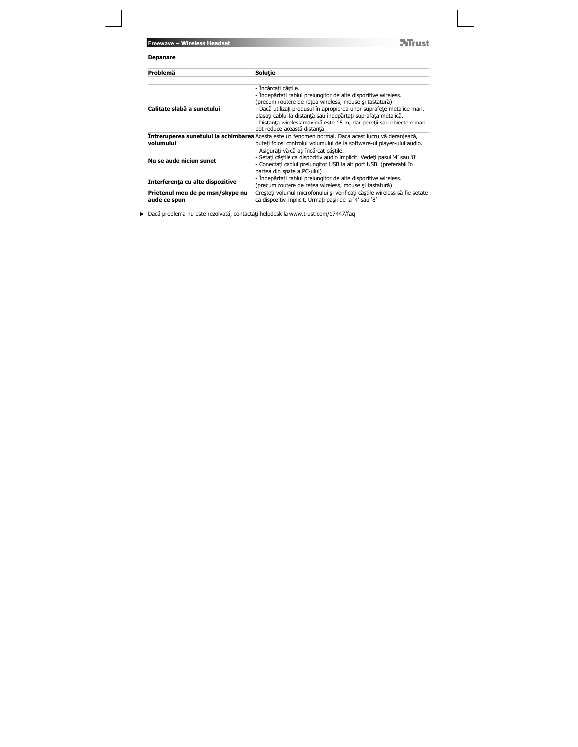**ATrust** 

| <b>Depanare</b>                                  |                                                                                                                                                                                                                                                                                                                                                                                                    |
|--------------------------------------------------|----------------------------------------------------------------------------------------------------------------------------------------------------------------------------------------------------------------------------------------------------------------------------------------------------------------------------------------------------------------------------------------------------|
| Problemă                                         | Solutie                                                                                                                                                                                                                                                                                                                                                                                            |
| Calitate slabă a sunetului                       | - Incărcați căștile.<br>- Indepărtați cablul prelungitor de alte dispozitive wireless.<br>(precum routere de retea wireless, mouse și tastatură)<br>- Dacă utilizați produsul în apropierea unor suprafete metalice mari,<br>plasati cablul la distantă sau îndepărtați suprafata metalică.<br>- Distanța wireless maximă este 15 m, dar pereții sau obiectele mari<br>pot reduce această distantă |
| volumului                                        | <b>Intreruperea sunetului la schimbarea</b> Acesta este un fenomen normal. Daca acest lucru vă deranjează,<br>puteti folosi controlul volumului de la software-ul plaver-ului audio.                                                                                                                                                                                                               |
| Nu se aude niciun sunet                          | - Asigurați-vă că ați încărcat căștile.<br>- Setati căștile ca dispozitiv audio implicit. Vedeți pasul '4' sau '8'<br>- Conectati cablul prelungitor USB la alt port USB. (preferabil în<br>partea din spate a PC-ului)                                                                                                                                                                            |
| Interferența cu alte dispozitive                 | - Îndepărtați cablul prelungitor de alte dispozitive wireless.<br>(precum routere de retea wireless, mouse și tastatură)                                                                                                                                                                                                                                                                           |
| Prietenul meu de pe msn/skype nu<br>aude ce spun | Creșteți volumul microfonului și verificați căștile wireless să fie setate<br>ca dispozitiv implicit. Urmati pasii de la '4' sau '8'                                                                                                                                                                                                                                                               |

▶ Dacă problema nu este rezolvată, contactați helpdesk la www.trust.com/17447/faq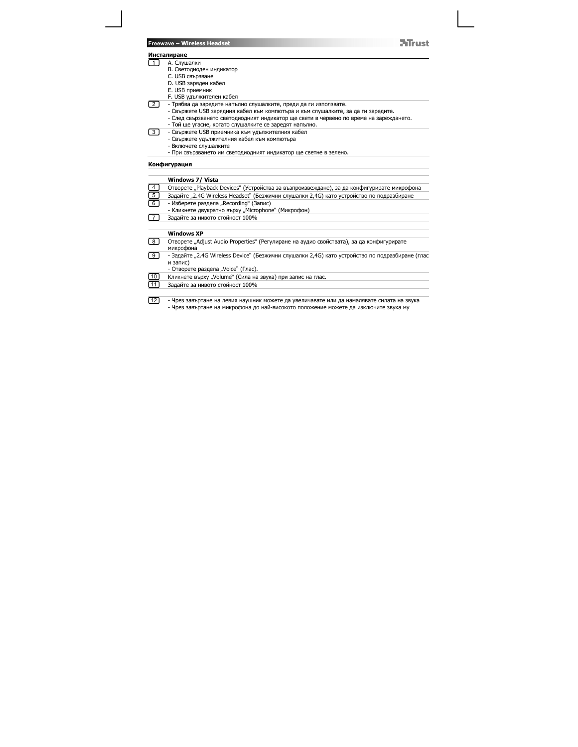## **Инсталиране**

- A. Слушалки B. Светодиоден индикатор 1
	- C. USB свързване
	-
	- D. USB заряден кабел E. USB приемник
	- F. USB удължителен кабел
	-
- 2\_) Трябва да заредите напълно слушалките, преди да ги използвате.<br>- Свържете USB зарядния кабел към компютъра и към слушалките, за да ги заредите.

**NTrust** 

- След свързването светодиодният индикатор ще свети в червено по време на зареждането. Той ще угасне, когато слушалките се заредят напълно.
- 
- Свържете USB приемника към удължителния кабел Свържете удължителния кабел към компютъра 3
	- Включете слушалките
	- При свързването им светодиодният индикатор ще светне в зелено.

### **Конфигурация**

|                                  | Windows 7/ Vista                                                                                            |
|----------------------------------|-------------------------------------------------------------------------------------------------------------|
| $\begin{array}{c} 4 \end{array}$ | Отворете "Playback Devices" (Устройства за възпроизвеждане), за да конфигурирате микрофона                  |
| <u>िं</u>                        | Задайте "2.4G Wireless Headset" (Безжични слушалки 2,4G) като устройство по подразбиране                    |
| $\lceil 6 \rceil$                | - Изберете раздела "Recording" (Запис)                                                                      |
|                                  | - Кликнете двукратно върху "Microphone" (Микрофон)                                                          |
|                                  | Задайте за нивото стойност 100%                                                                             |
|                                  |                                                                                                             |
|                                  | <b>Windows XP</b>                                                                                           |
| 8                                | Отворете "Adjust Audio Properties" (Регулиране на аудио свойствата), за да конфигурирате<br>микрофона       |
| [9                               | - Задайте "2.4G Wireless Device" (Безжични слушалки 2,4G) като устройство по подразбиране (глас<br>и запис) |
|                                  | - Отворете раздела "Voice" (Глас).                                                                          |
| $\boxed{10}$                     | Кликнете върху "Volume" (Сила на звука) при запис на глас.                                                  |
| [11]                             | Задайте за нивото стойност 100%                                                                             |
|                                  |                                                                                                             |
| l 12                             | - Чрез завъртане на левия наушник можете да увеличавате или да намалявате силата на звука                   |

- Чрез завъртане на микрофона до най-високото положение можете да изключите звука му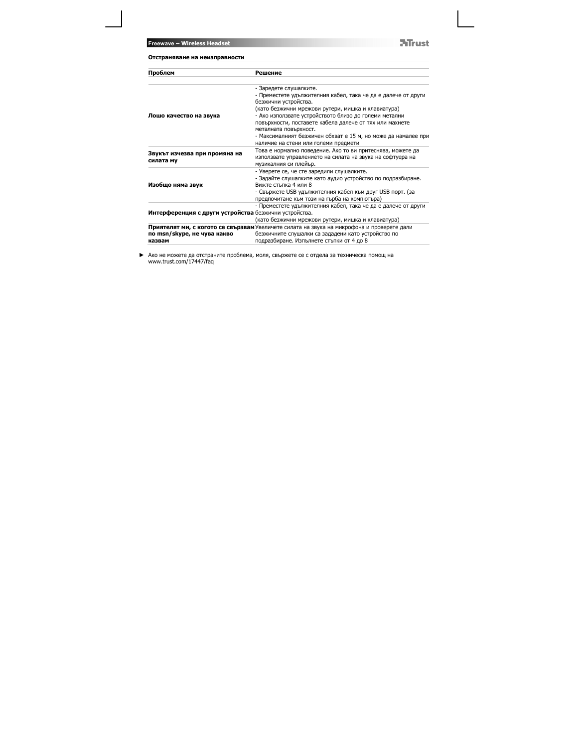**ATrust** 

| Отстраняване на неизправности                         |                                                                                                                                                                                                                                                                                                                                                                                     |
|-------------------------------------------------------|-------------------------------------------------------------------------------------------------------------------------------------------------------------------------------------------------------------------------------------------------------------------------------------------------------------------------------------------------------------------------------------|
| Проблем                                               | Решение                                                                                                                                                                                                                                                                                                                                                                             |
| Лошо качество на звука                                | - Заредете слушалките.<br>- Преместете удължителния кабел, така че да е далече от други<br>безжични устройства.<br>(като безжични мрежови рутери, мишка и клавиатура)<br>- Ако използвате устройството близо до големи метални<br>повърхности, поставете кабела далече от тях или махнете<br>металната повърхност.<br>- Максималният безжичен обхват е 15 м, но може да намалее при |
| Звукът изчезва при промяна на<br>силата му            | наличие на стени или големи предмети<br>Това е нормално поведение. Ако то ви притеснява, можете да<br>използвате управлението на силата на звука на софтуера на<br>музикалния си плейър.                                                                                                                                                                                            |
| Изобщо няма звук                                      | - Уверете се, че сте заредили слушалките.<br>- Задайте слушалките като аудио устройство по подразбиране.<br>Вижте стъпка 4 или 8<br>- Свържете USB удължителния кабел към друг USB порт. (за<br>предпочитане към този на гърба на компютъра)                                                                                                                                        |
| Интерференция с други устройства безжични устройства. | - Преместете удължителния кабел, така че да е далече от други<br>(като безжични мрежови рутери, мишка и клавиатура)                                                                                                                                                                                                                                                                 |
| по msn/skype, не чува какво<br>казвам                 | Приятелят ми, с когото се свързвам Увеличете силата на звука на микрофона и проверете дали<br>безжичните слушалки са зададени като устройство по<br>подразбиране. Изпълнете стъпки от 4 до 8                                                                                                                                                                                        |

Ако не можете да отстраните проблема, моля, свържете се с отдела за техническа помощ на www.trust.com/17447/faq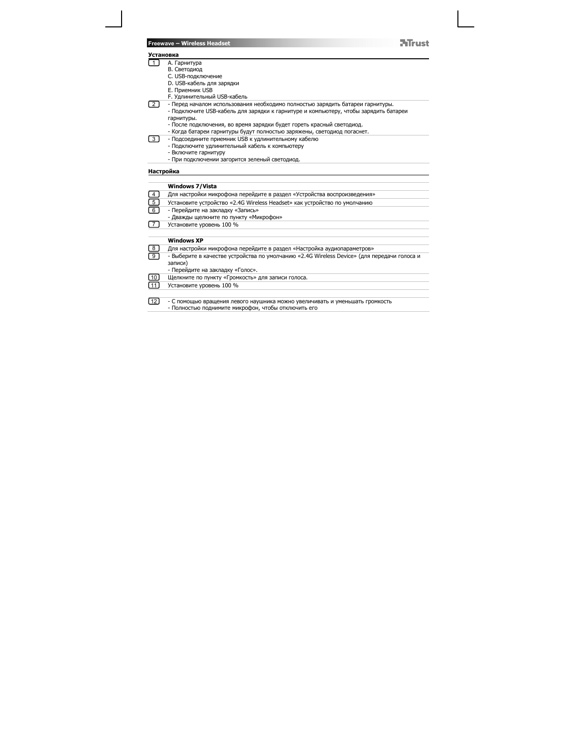|                | <b>Mrust</b><br>Freewave - Wireless Headset                                                 |
|----------------|---------------------------------------------------------------------------------------------|
|                | Установка                                                                                   |
| 1 <sup>1</sup> | А. Гарнитура                                                                                |
|                | В. Светодиод                                                                                |
|                | С. USB-подключение                                                                          |
|                | D. USB-кабель для зарядки                                                                   |
|                | E. Приемник USB                                                                             |
|                | F. Удлинительный USB-кабель                                                                 |
| 2 <sup>1</sup> | - Перед началом использования необходимо полностью зарядить батареи гарнитуры.              |
|                | - Подключите USB-кабель для зарядки к гарнитуре и компьютеру, чтобы зарядить батареи        |
|                | гарнитуры.                                                                                  |
|                | - После подключения, во время зарядки будет гореть красный светодиод.                       |
|                | - Когда батареи гарнитуры будут полностью заряжены, светодиод погаснет.                     |
| 3              | - Подсоедините приемник USB к удлинительному кабелю                                         |
|                | - Подключите удлинительный кабель к компьютеру                                              |
|                | - Включите гарнитуру                                                                        |
|                | - При подключении загорится зеленый светодиод.                                              |
|                | Настройка                                                                                   |
|                | <b>Windows 7/Vista</b>                                                                      |
| 4              | Для настройки микрофона перейдите в раздел «Устройства воспроизведения»                     |
|                | Установите устройство «2.4G Wireless Headset» как устройство по умолчанию                   |
| $\frac{5}{6}$  | - Перейдите на закладку «Запись»                                                            |
|                | - Дважды щелкните по пункту «Микрофон»                                                      |
| $\overline{7}$ | Установите уровень 100 %                                                                    |
|                |                                                                                             |
|                | <b>Windows XP</b>                                                                           |
| 8              | Для настройки микрофона перейдите в раздел «Настройка аудиопараметров»                      |
| $\overline{9}$ | - Выберите в качестве устройства по умолчанию «2.4G Wireless Device» (для передачи голоса и |
|                | записи)                                                                                     |
|                | - Перейдите на закладку «Голос».                                                            |
| 10             | Щелкните по пункту «Громкость» для записи голоса.                                           |
| 11             | Установите уровень 100 %                                                                    |
|                |                                                                                             |
| $\sqrt{12}$    | - С помощью вращения левого наушника можно увеличивать и уменьшать громкость                |
|                | - Полностью поднимите микрофон, чтобы отключить его                                         |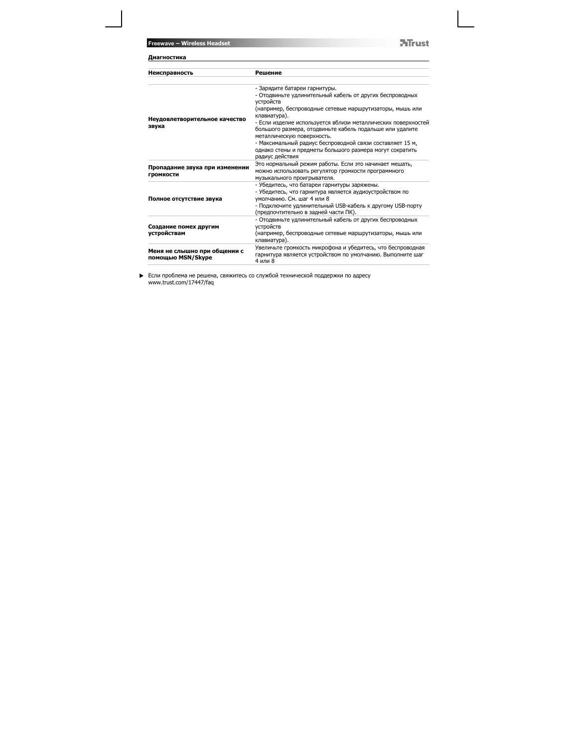**ATrust** 

| Диагностика                                        |                                                                                                                                                                                                                                                                                                                                                                                                                                                                                           |
|----------------------------------------------------|-------------------------------------------------------------------------------------------------------------------------------------------------------------------------------------------------------------------------------------------------------------------------------------------------------------------------------------------------------------------------------------------------------------------------------------------------------------------------------------------|
| Неисправность                                      | Решение                                                                                                                                                                                                                                                                                                                                                                                                                                                                                   |
| Неудовлетворительное качество<br>звука             | - Зарядите батареи гарнитуры.<br>- Отодвиньте удлинительный кабель от других беспроводных<br>устройств<br>(например, беспроводные сетевые маршрутизаторы, мышь или<br>клавиатура).<br>- Если изделие используется вблизи металлических поверхностей<br>большого размера, отодвиньте кабель подальше или удалите<br>металлическую поверхность.<br>- Максимальный радиус беспроводной связи составляет 15 м,<br>однако стены и предметы большого размера могут сократить<br>радиус действия |
| Пропадание звука при изменении<br><b>ГРОМКОСТИ</b> | Это нормальный режим работы. Если это начинает мешать,<br>можно использовать регулятор громкости программного<br>музыкального проигрывателя.                                                                                                                                                                                                                                                                                                                                              |
| Полное отсутствие звука                            | - Убедитесь, что батареи гарнитуры заряжены.<br>- Убедитесь, что гарнитура является аудиоустройством по<br>умолчанию. См. шаг 4 или 8<br>- Подключите удлинительный USB-кабель к другому USB-порту<br>(предпочтительно в задней части ПК).                                                                                                                                                                                                                                                |
| Создание помех другим<br>устройствам               | - Отодвиньте удлинительный кабель от других беспроводных<br>устройств<br>(например, беспроводные сетевые маршрутизаторы, мышь или<br>клавиатура).                                                                                                                                                                                                                                                                                                                                         |
| Меня не слышно при общении с<br>помощью MSN/Skype  | Увеличьте громкость микрофона и убедитесь, что беспроводная<br>гарнитура является устройством по умолчанию. Выполните шаг<br>4 или 8                                                                                                                                                                                                                                                                                                                                                      |

Если проблема не решена, свяжитесь со службой технической поддержки по адресу www.trust.com/17447/faq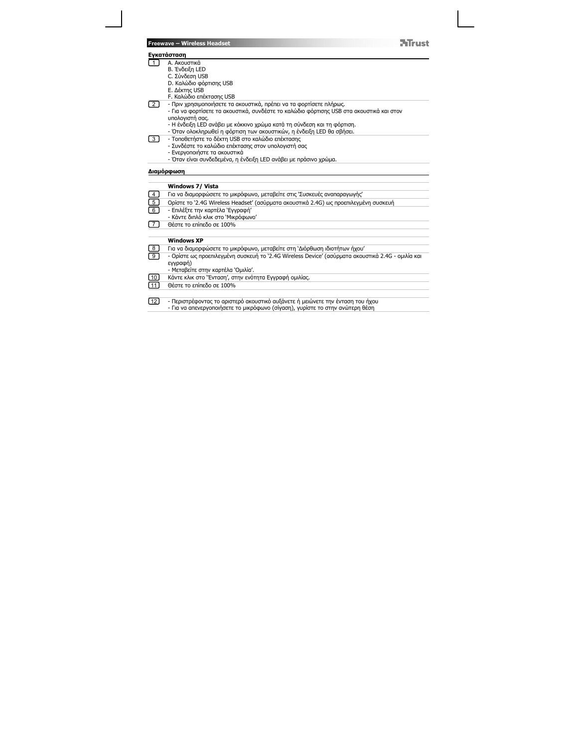|                 | 7 Truct<br><b>Freewave - Wireless Headset</b>                                                     |
|-----------------|---------------------------------------------------------------------------------------------------|
|                 | <b>Ενκατάσταση</b>                                                                                |
|                 | Α. Ακουστικά                                                                                      |
|                 | Β. Ένδειξη LED                                                                                    |
|                 | C. Σύνδεση USB                                                                                    |
|                 | D. Καλώδιο φόρτισης USB                                                                           |
|                 | Ε. Δέκτης USB                                                                                     |
|                 | F. Καλώδιο επέκτασης USB                                                                          |
| 2 I             | - Πριν χρησιμοποιήσετε τα ακουστικά, πρέπει να τα φορτίσετε πλήρως.                               |
|                 | - Για να φορτίσετε τα ακουστικά, συνδέστε το καλώδιο φόρτισης USB στα ακουστικά και στον          |
|                 | υπολογιστή σας.                                                                                   |
|                 | - Η ένδειξη LED ανάβει με κόκκινο χρώμα κατά τη σύνδεση και τη φόρτιση.                           |
|                 | - Όταν ολοκληρωθεί η φόρτιση των ακουστικών, η ενδειξη LED θα σβήσει.                             |
| $\overline{3}$  | - Τοποθετήστε το δέκτη USB στο καλώδιο επέκτασης                                                  |
|                 | - Συνδέστε το καλώδιο επέκτασης στον υπολογιστή σας                                               |
|                 | - Ενεργοποιήστε τα ακουστικά                                                                      |
|                 | - Όταν είναι συνδεδεμένα, η ένδειξη LED ανάβει με πράσινο χρώμα.                                  |
|                 | Διαμόρφωση                                                                                        |
|                 |                                                                                                   |
|                 | Windows 7/ Vista                                                                                  |
| 4               | Για να διαμορφώσετε το μικρόφωνο, μεταβείτε στις 'Συσκευές αναπαραγωγής'                          |
| $\overline{5}$  | Opiotr το `2.4G Wireless Headset' (ασύρματα ακουστικά 2.4G) ως προεπιλεγμένη συσκευή              |
| $\overline{6}$  | - Επιλέξτε την καρτέλα 'Εγγραφή'                                                                  |
|                 | - Κάντε διπλό κλικ στο `Μικρόφωνο'                                                                |
| 77              | Θέστε το επίπεδο σε 100%                                                                          |
|                 |                                                                                                   |
|                 | <b>Windows XP</b>                                                                                 |
| 8               | Για να διαμορφώσετε το μικρόφωνο, μεταβείτε στη 'Διόρθωση ιδιοτήτων ήχου'                         |
| ᢖ               | - Ορίστε ως προεπιλεγμένη συσκευή το `2.4G Wireless Device' (ασύρματα ακουστικά 2.4G - ομιλία και |
|                 | εγγραφή)                                                                                          |
|                 | - Μεταβείτε στην καρτέλα `Ομιλία'.                                                                |
| 10              | Κάντε κλικ στο "Ενταση', στην ενότητα Εγγραφή ομιλίας.                                            |
| $\overline{11}$ | Θέστε το επίπεδο σε 100%                                                                          |
|                 |                                                                                                   |
| $\sqrt{12}$     | - Περιστρέφοντας το αριστερό ακουστικό αυξάνετε ή μειώνετε την ένταση του ήχου                    |
|                 | - Για να απενεργοποιήσετε το μικρόφωνο (σίγαση), γυρίστε το στην ανώτερη θέση                     |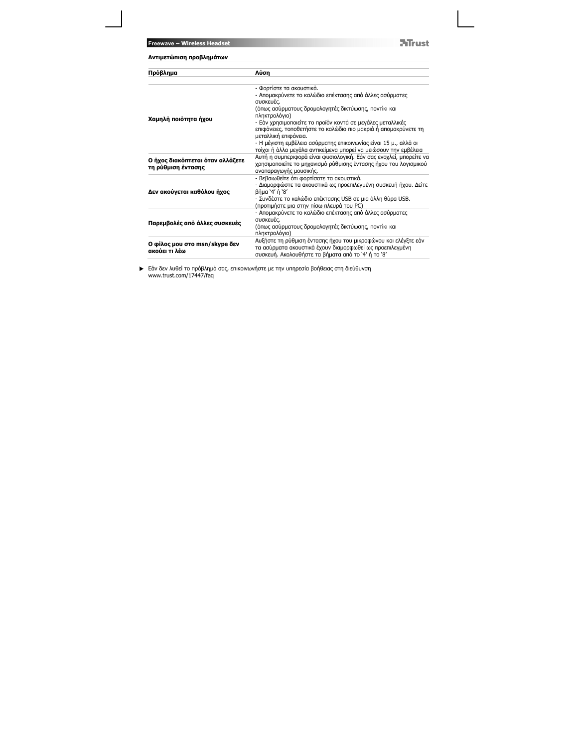| Πρόβλημα                                               | Λύση                                                                                                                                                                             |
|--------------------------------------------------------|----------------------------------------------------------------------------------------------------------------------------------------------------------------------------------|
|                                                        |                                                                                                                                                                                  |
|                                                        | - Φορτίστε τα ακουστικά.<br>- Απομακρύνετε το καλώδιο επέκτασης από άλλες ασύρματες<br>συσκευές.                                                                                 |
|                                                        | (όπως ασύρματους δρομολογητές δικτύωσης, ποντίκι και<br>πληκτρολόγιο)                                                                                                            |
| Χαμηλή ποιότητα ήχου                                   | - Εάν χρησιμοποιείτε το προϊόν κοντά σε μεγάλες μεταλλικές<br>επιφάνειες, τοποθετήστε το καλώδιο πιο μακριά ή απομακρύνετε τη<br>μεταλλική επιφάνεια.                            |
|                                                        | - Η μέγιστη εμβέλεια ασύρματης επικοινωνίας είναι 15 μ., αλλά οι<br>τοίχοι η άλλα μεγάλα αντικείμενα μπορεί να μειώσουν την εμβέλεια                                             |
| Ο ήχος διακόπτεται όταν αλλάζετε<br>τη ρύθμιση έντασης | Αυτή η συμπεριφορά είναι φυσιολογική. Εάν σας ενοχλεί, μπορείτε να<br>χρησιμοποιείτε το μηχανισμό ρύθμισης έντασης ήχου του λογισμικού<br>αναπαραγωγής μουσικής.                 |
|                                                        | - Βεβαιωθείτε ότι φορτίσατε τα ακουστικά.<br>- Διαμορφώστε τα ακουστικά ως προεπιλεγμένη συσκευή ήχου. Δείτε                                                                     |
| Δεν ακούγεται καθόλου ήχος                             | βήμα '4' ή '8'<br>- Συνδέστε το καλώδιο επέκτασης USB σε μια άλλη θύρα USB.<br>(προτιμήστε μια στην πίσω πλευρά του PC)                                                          |
|                                                        | - Απομακρύνετε το καλώδιο επέκτασης από άλλες ασύρματες<br>συσκευές.                                                                                                             |
| Παρεμβολές από άλλες συσκευές                          | (όπως ασύρματους δρομολογητές δικτύωσης, ποντίκι και<br>πληκτρολόγιο)                                                                                                            |
| Ο φίλος μου στο msn/skype δεν<br>ακούει τι λέω         | Αυξήστε τη ρύθμιση έντασης ήχου του μικροφώνου και ελέγξτε εάν<br>τα ασύρματα ακουστικά έχουν διαμορφωθεί ως προεπιλεγμένη<br>συσκευή. Ακολουθήστε τα βήματα από το '4' ή το '8' |

Εάν δεν λυθεί το πρόβλημά σας, επικοινωνήστε με την υπηρεσία βοήθειας στη διεύθυνση www.trust.com/17447/faq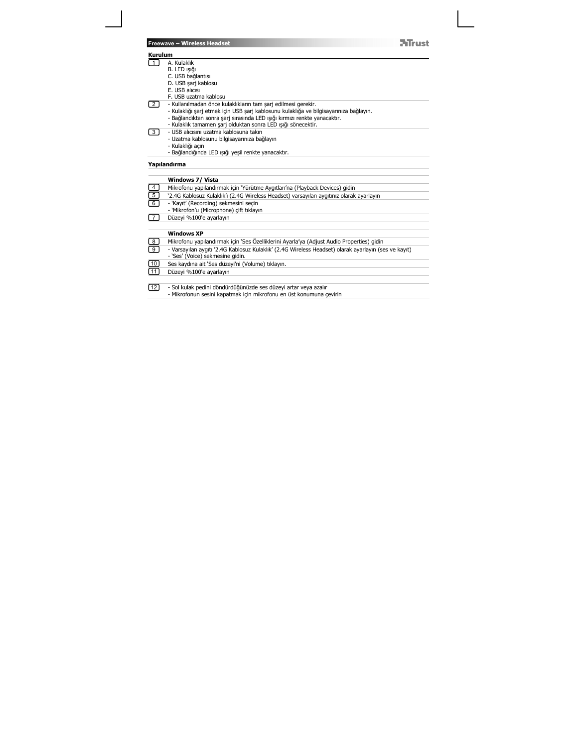|                       | Mirust<br>Freewave - Wireless Headset                                                                |
|-----------------------|------------------------------------------------------------------------------------------------------|
| <b>Kurulum</b>        |                                                                                                      |
| $\overline{1}$        | A. Kulaklık                                                                                          |
|                       | B. LED ışığı                                                                                         |
|                       | C. USB bağlantısı                                                                                    |
|                       | D. USB sarj kablosu                                                                                  |
|                       | E. USB alicisi                                                                                       |
|                       | F. USB uzatma kablosu                                                                                |
| 2 l                   | - Kullanılmadan önce kulaklıkların tam şarj edilmesi gerekir.                                        |
|                       | - Kulaklığı şarj etmek için USB şarj kablosunu kulaklığa ve bilgisayarınıza bağlayın.                |
|                       | - Bağlandıktan sonra şarj sırasında LED ışığı kırmızı renkte yanacaktır.                             |
|                       | - Kulaklık tamamen şarj olduktan sonra LED ışığı sönecektir.                                         |
| 3 I                   | - USB alicisini uzatma kablosuna takin                                                               |
|                       | - Uzatma kablosunu bilgisayarınıza bağlayın                                                          |
|                       | - Kulaklığı açın                                                                                     |
|                       | - Bağlandığında LED ışığı yeşil renkte yanacaktır.                                                   |
|                       | Yapılandırma                                                                                         |
|                       | Windows 7/ Vista                                                                                     |
| 4                     | Mikrofonu yapılandırmak için 'Yürütme Aygıtları'na (Playback Devices) gidin                          |
| $\overline{5}$        | '2.4G Kablosuz Kulaklık'ı (2.4G Wireless Headset) varsayılan aygıtınız olarak ayarlayın              |
| 6                     | - 'Kayıt' (Recording) sekmesini seçin                                                                |
|                       | - 'Mikrofon'u (Microphone) cift tıklayın                                                             |
| $\overline{7}$        | Düzeyi %100'e ayarlayın                                                                              |
|                       | <b>Windows XP</b>                                                                                    |
| $\overline{8}$        | Mikrofonu yapılandırmak için 'Ses Özelliklerini Ayarla'ya (Adjust Audio Properties) gidin            |
| 9                     | - Varsayılan aygıtı '2.4G Kablosuz Kulaklık' (2.4G Wireless Headset) olarak ayarlayın (ses ve kayıt) |
|                       | - 'Ses' (Voice) sekmesine gidin.                                                                     |
|                       | Ses kaydına ait 'Ses düzeyi'ni (Volume) tıklayın.                                                    |
|                       |                                                                                                      |
|                       |                                                                                                      |
| 10<br>$\overline{11}$ | Düzeyi %100'e ayarlayın                                                                              |

- Sol kulak pedini döndürdüğünüzde ses düzeyi artar veya azalır - Mikrofonun sesini kapatmak için mikrofonu en üst konumuna çevirin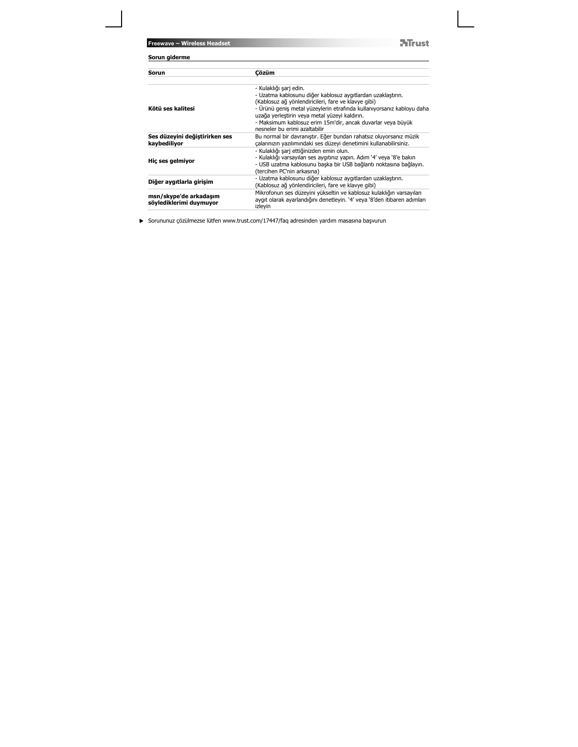**NTrust** 

| Sorun giderme                                     |                                                                                                                                                                                                                                                                                                                                                                        |
|---------------------------------------------------|------------------------------------------------------------------------------------------------------------------------------------------------------------------------------------------------------------------------------------------------------------------------------------------------------------------------------------------------------------------------|
| Sorun                                             | Cözüm                                                                                                                                                                                                                                                                                                                                                                  |
| Kötü ses kalitesi                                 | - Kulaklığı şarj edin.<br>- Uzatma kablosunu diğer kablosuz aygıtlardan uzaklaştırın.<br>(Kablosuz ağ yönlendiricileri, fare ve klavye gibi)<br>- Ürünü geniş metal yüzeylerin etrafında kullanıyorsanız kabloyu daha<br>uzağa yerleştirin veya metal yüzeyi kaldırın.<br>- Maksimum kablosuz erim 15m'dir, ancak duvarlar veya büyük<br>nesneler bu erimi azaltabilir |
| Ses düzeyini değiştirirken ses<br>kaybediliyor    | Bu normal bir davranıştır. Eğer bundan rahatsız oluyorsanız müzik<br>çalarınızın yazılımındaki ses düzeyi denetimini kullanabilirsiniz.                                                                                                                                                                                                                                |
| Hic ses gelmiyor                                  | - Kulaklığı şarj ettiğinizden emin olun.<br>- Kulaklığı varsayılan ses aygıtınız yapın. Adım '4' veya '8'e bakın<br>- USB uzatma kablosunu başka bir USB bağlantı noktasına bağlayın.<br>(tercihen PC'nin arkasına)                                                                                                                                                    |
| Diğer aygıtlarla girişim                          | - Uzatma kablosunu diğer kablosuz aygıtlardan uzaklaştırın.<br>(Kablosuz ağ yönlendiricileri, fare ve klavye gibi)                                                                                                                                                                                                                                                     |
| msn/skype'de arkadasım<br>söylediklerimi duymuyor | Mikrofonun ses düzeyini yükseltin ve kablosuz kulaklığın varsayılan<br>aygıt olarak ayarlandığını denetleyin. '4' veya '8'den itibaren adımları<br>izleyin                                                                                                                                                                                                             |

Sorununuz çözülmezse lütfen www.trust.com/17447/faq adresinden yardım masasına başvurun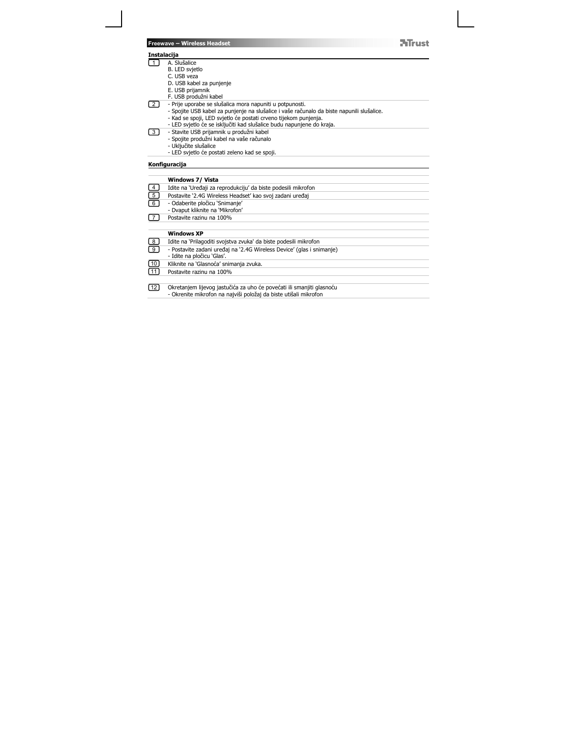#### **Instalacija**

2

- 1
	- -
		-
		-
- A. Slušalice<br>C. LED svjetlo<br>C. USB vaza<br>F. USB prijamnik<br>F. USB prijamnik<br>F. USB produžni kabel<br>- Spojite USB kabel za punjenje na slušalice i vaše računalo da biste napunili slušalice.<br>- Kad se spoji, LED svjetlo će posta

**ATrust** 

- 
- 
- Stavite USB prijamnik u produžni kabel Spojite produžni kabel na vaše računalo Uključite slušalice LED svjetlo će postati zeleno kad se spoji. 3
	-
	-

## **Konfiguracija**

|                                                      | Windows 7/ Vista                                                      |
|------------------------------------------------------|-----------------------------------------------------------------------|
|                                                      | Idite na 'Uređaji za reprodukciju' da biste podesili mikrofon         |
| $\begin{array}{c} \boxed{4} \ \boxed{5} \end{array}$ | Postavite '2.4G Wireless Headset' kao svoj zadani uređaj              |
| ᢎ                                                    | - Odaberite pločicu 'Snimanje'                                        |
|                                                      | - Dyaput kliknite na 'Mikrofon'                                       |
| 7                                                    | Postavite razinu na 100%                                              |
|                                                      |                                                                       |
|                                                      | <b>Windows XP</b>                                                     |
| $^{8}$                                               | Idite na 'Prilagoditi svojstva zvuka' da biste podesili mikrofon      |
| $\textcircled{\scriptsize{\texttt{I}}}$              | - Postavite zadani uređaj na '2.4G Wireless Device' (glas i snimanje) |
|                                                      | - Idite na pločicu 'Glas'.                                            |
| ⅏                                                    | Kliknite na 'Glasnoća' snimania zvuka.                                |
| $\sqrt{11}$                                          | Postavite razinu na 100%                                              |
|                                                      |                                                                       |
| [12]                                                 | Okretanjem lijevog jastučića za uho će povećati ili smanjiti glasnoću |
|                                                      | - Okrenite mikrofon na najviši položaj da biste utišali mikrofon      |